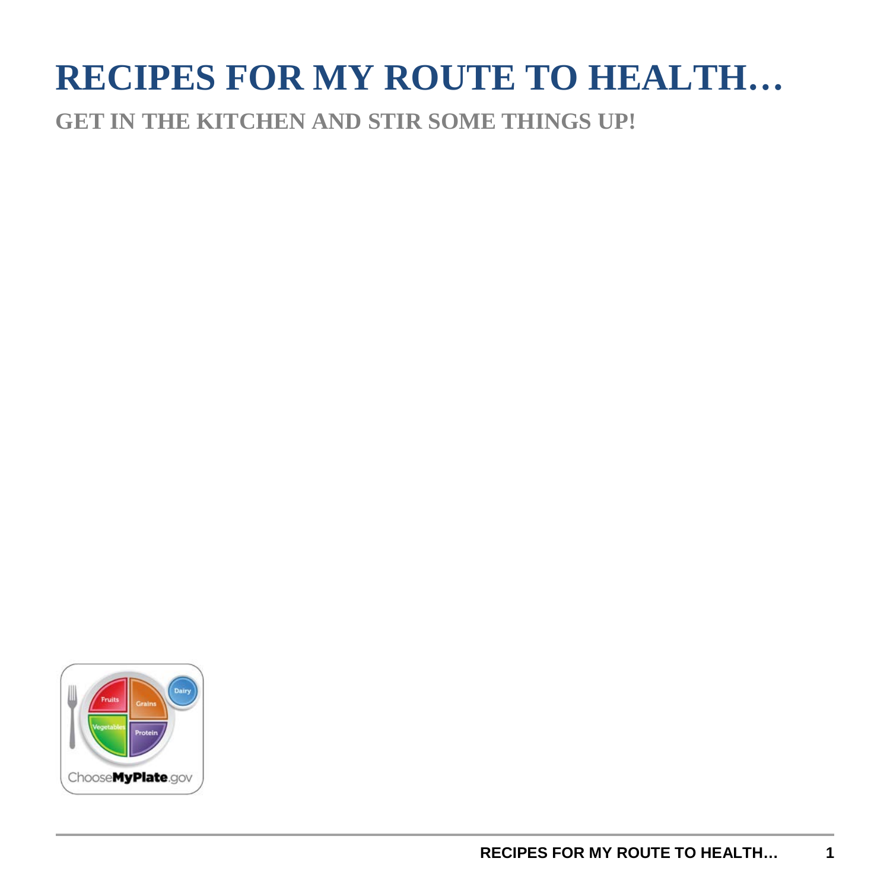## **RECIPES FOR MY ROUTE TO HEALTH…**

**GET IN THE KITCHEN AND STIR SOME THINGS UP!**

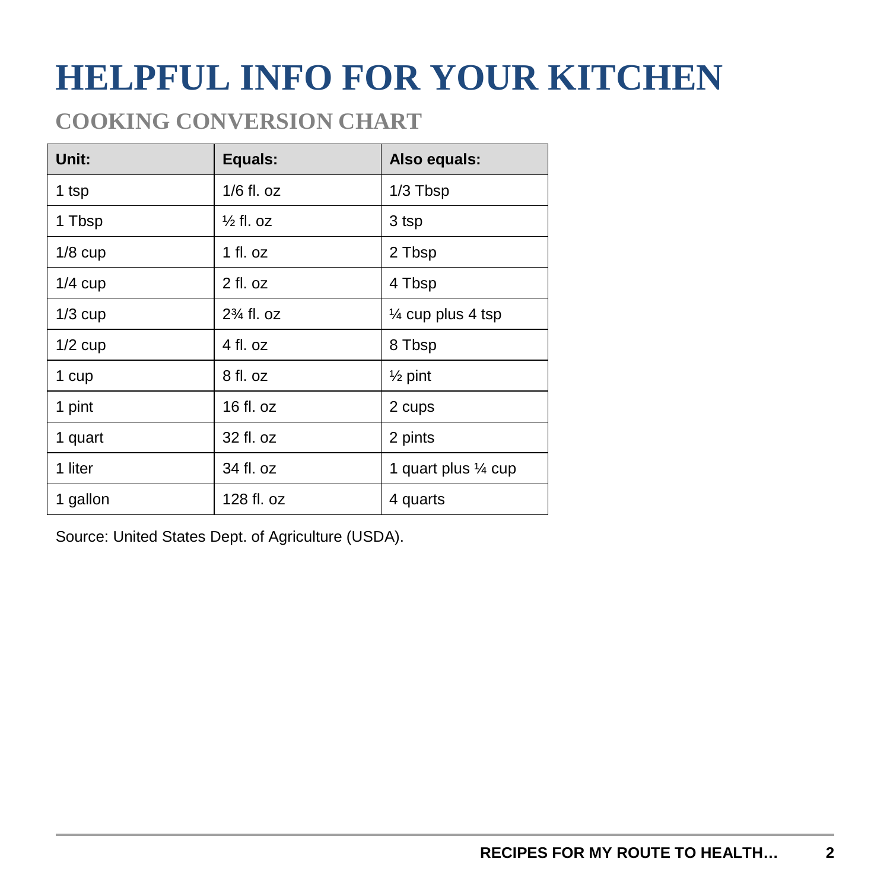## **HELPFUL INFO FOR YOUR KITCHEN**

### **COOKING CONVERSION CHART**

| Unit:     | Equals:               | Also equals:         |
|-----------|-----------------------|----------------------|
| 1 tsp     | $1/6$ fl. oz          | 1/3 Tbsp             |
| 1 Tbsp    | $\frac{1}{2}$ fl. oz  | 3 tsp                |
| $1/8$ cup | 1 fl. oz              | 2 Tbsp               |
| $1/4$ cup | $2$ fl. oz            | 4 Tbsp               |
| $1/3$ cup | $2\frac{3}{4}$ fl. oz | 1⁄4 cup plus 4 tsp   |
| $1/2$ cup | 4 fl. oz              | 8 Tbsp               |
| 1 cup     | 8 fl. oz              | $\frac{1}{2}$ pint   |
| 1 pint    | 16 fl. oz             | 2 cups               |
| 1 quart   | 32 fl. oz             | 2 pints              |
| 1 liter   | 34 fl. oz             | 1 quart plus 1/4 cup |
| 1 gallon  | 128 fl. oz            | 4 quarts             |

Source: United States Dept. of Agriculture (USDA).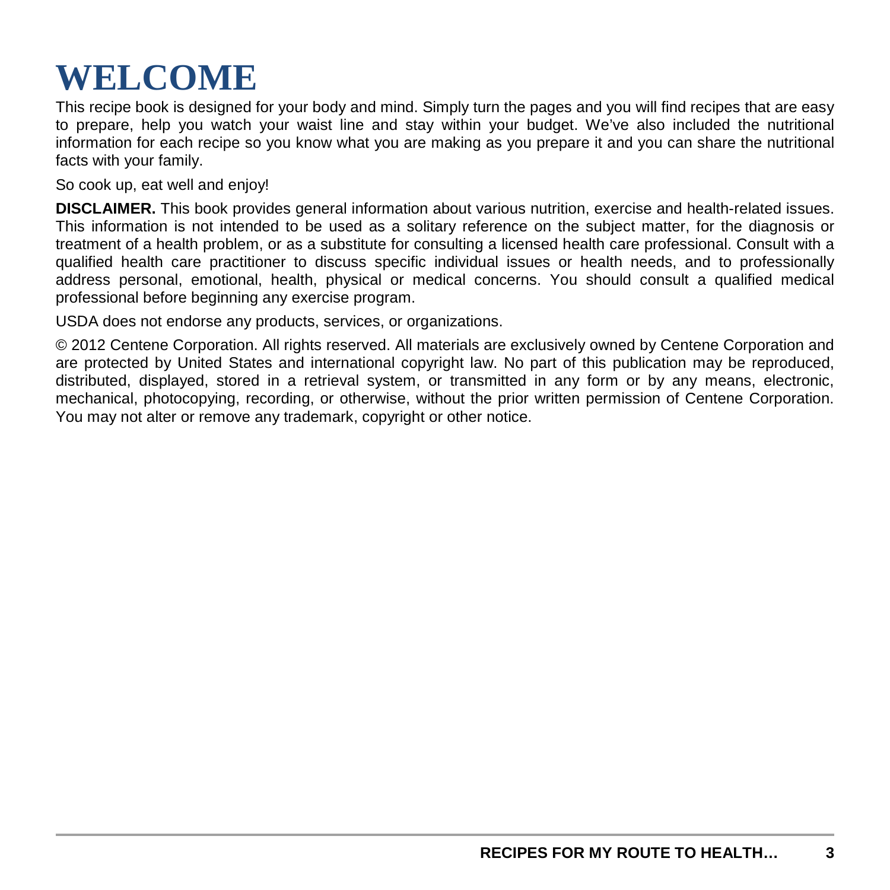## **WELCOME**

This recipe book is designed for your body and mind. Simply turn the pages and you will find recipes that are easy to prepare, help you watch your waist line and stay within your budget. We've also included the nutritional information for each recipe so you know what you are making as you prepare it and you can share the nutritional facts with your family.

So cook up, eat well and enjoy!

**DISCLAIMER.** This book provides general information about various nutrition, exercise and health-related issues. This information is not intended to be used as a solitary reference on the subject matter, for the diagnosis or treatment of a health problem, or as a substitute for consulting a licensed health care professional. Consult with a qualified health care practitioner to discuss specific individual issues or health needs, and to professionally address personal, emotional, health, physical or medical concerns. You should consult a qualified medical professional before beginning any exercise program.

USDA does not endorse any products, services, or organizations.

© 2012 Centene Corporation. All rights reserved. All materials are exclusively owned by Centene Corporation and are protected by United States and international copyright law. No part of this publication may be reproduced, distributed, displayed, stored in a retrieval system, or transmitted in any form or by any means, electronic, mechanical, photocopying, recording, or otherwise, without the prior written permission of Centene Corporation. You may not alter or remove any trademark, copyright or other notice.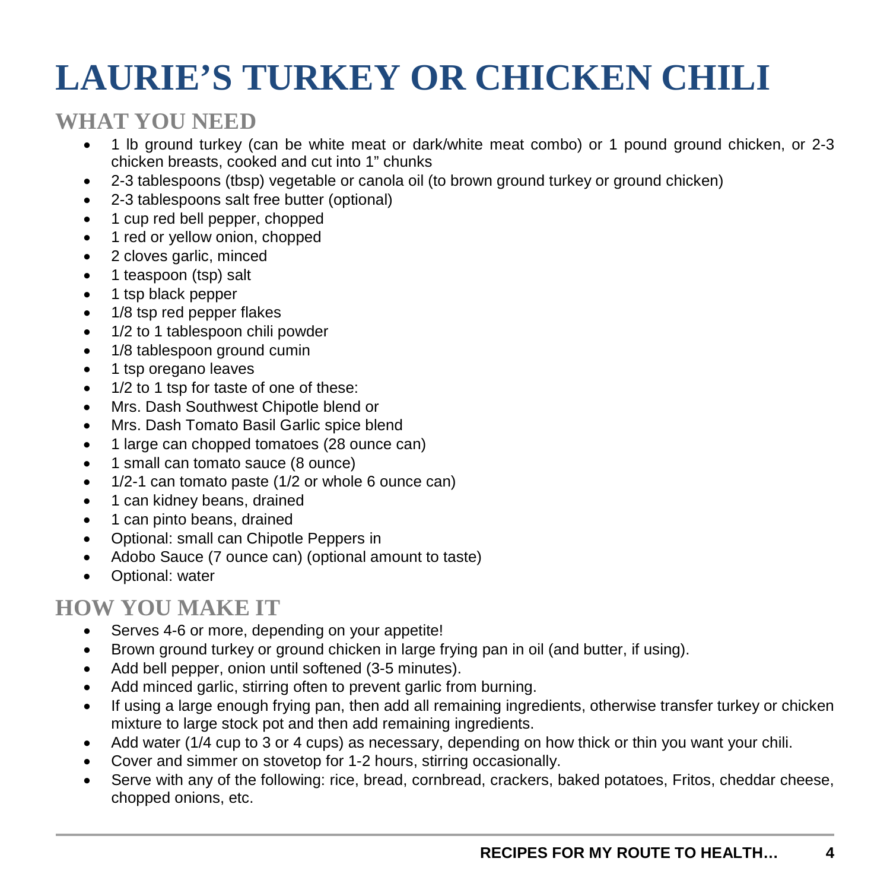## **LAURIE'S TURKEY OR CHICKEN CHILI**

#### **WHAT YOU NEED**

- 1 lb ground turkey (can be white meat or dark/white meat combo) or 1 pound ground chicken, or 2-3 chicken breasts, cooked and cut into 1" chunks
- 2-3 tablespoons (tbsp) vegetable or canola oil (to brown ground turkey or ground chicken)
- 2-3 tablespoons salt free butter (optional)
- 1 cup red bell pepper, chopped
- 1 red or yellow onion, chopped
- 2 cloves garlic, minced
- 1 teaspoon (tsp) salt
- 1 tsp black pepper
- 1/8 tsp red pepper flakes
- 1/2 to 1 tablespoon chili powder
- 1/8 tablespoon ground cumin
- 1 tsp oregano leaves
- 1/2 to 1 tsp for taste of one of these:
- Mrs. Dash Southwest Chipotle blend or
- Mrs. Dash Tomato Basil Garlic spice blend
- 1 large can chopped tomatoes (28 ounce can)
- 1 small can tomato sauce (8 ounce)
- 1/2-1 can tomato paste (1/2 or whole 6 ounce can)
- 1 can kidney beans, drained
- 1 can pinto beans, drained
- Optional: small can Chipotle Peppers in
- Adobo Sauce (7 ounce can) (optional amount to taste)
- Optional: water

- Serves 4-6 or more, depending on your appetite!
- Brown ground turkey or ground chicken in large frying pan in oil (and butter, if using).
- Add bell pepper, onion until softened (3-5 minutes).
- Add minced garlic, stirring often to prevent garlic from burning.
- If using a large enough frying pan, then add all remaining ingredients, otherwise transfer turkey or chicken mixture to large stock pot and then add remaining ingredients.
- Add water (1/4 cup to 3 or 4 cups) as necessary, depending on how thick or thin you want your chili.
- Cover and simmer on stovetop for 1-2 hours, stirring occasionally.
- Serve with any of the following: rice, bread, cornbread, crackers, baked potatoes, Fritos, cheddar cheese, chopped onions, etc.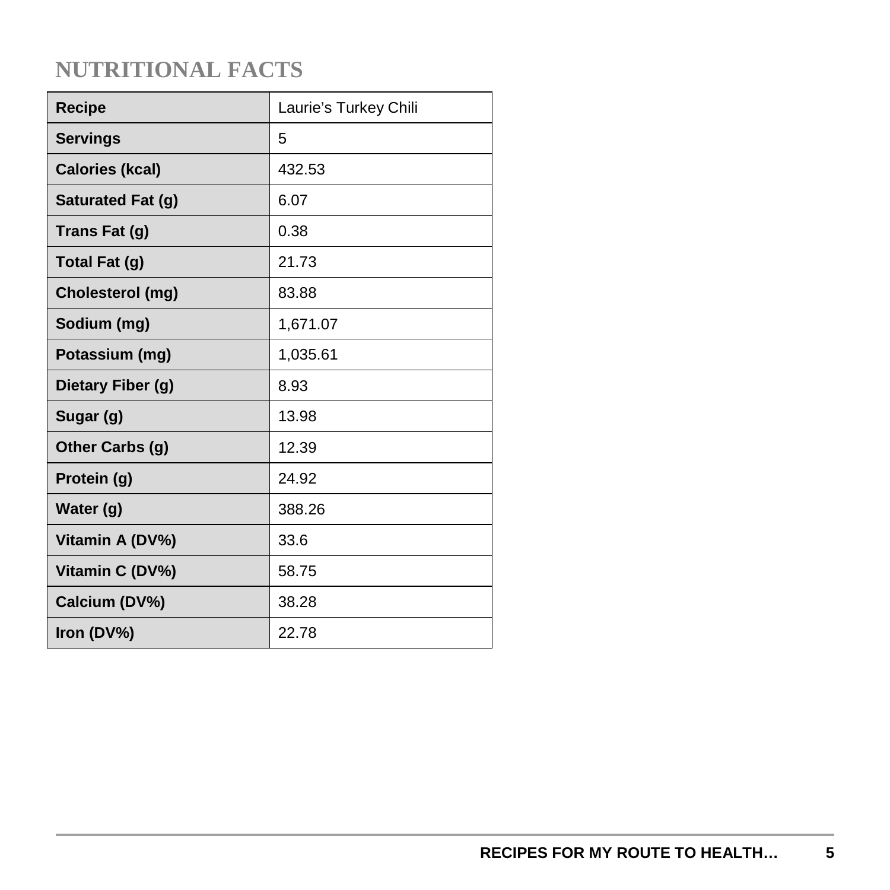| <b>Recipe</b>          | Laurie's Turkey Chili |
|------------------------|-----------------------|
| <b>Servings</b>        | 5                     |
| <b>Calories (kcal)</b> | 432.53                |
| Saturated Fat (g)      | 6.07                  |
| Trans Fat (g)          | 0.38                  |
| Total Fat (g)          | 21.73                 |
| Cholesterol (mg)       | 83.88                 |
| Sodium (mg)            | 1,671.07              |
| Potassium (mg)         | 1,035.61              |
| Dietary Fiber (g)      | 8.93                  |
| Sugar (g)              | 13.98                 |
| Other Carbs (g)        | 12.39                 |
| Protein (g)            | 24.92                 |
| Water (g)              | 388.26                |
| Vitamin A (DV%)        | 33.6                  |
| Vitamin C (DV%)        | 58.75                 |
| Calcium (DV%)          | 38.28                 |
| Iron (DV%)             | 22.78                 |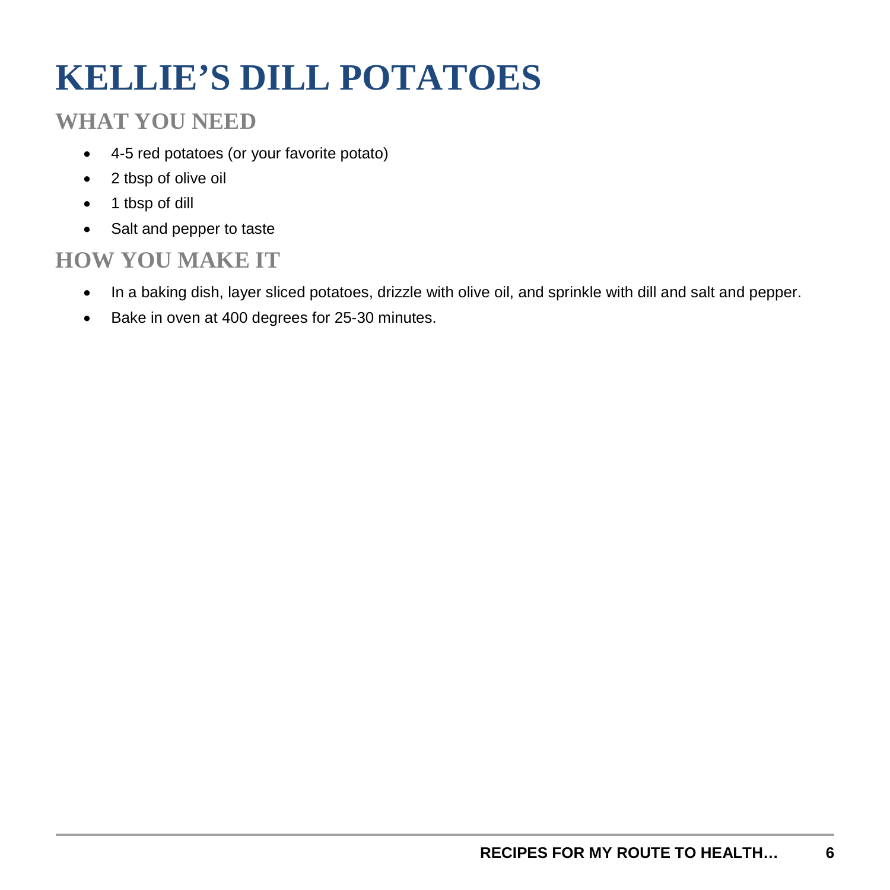## **KELLIE'S DILL POTATOES**

#### **WHAT YOU NEED**

- 4-5 red potatoes (or your favorite potato)
- 2 tbsp of olive oil
- 1 tbsp of dill
- Salt and pepper to taste

- In a baking dish, layer sliced potatoes, drizzle with olive oil, and sprinkle with dill and salt and pepper.
- Bake in oven at 400 degrees for 25-30 minutes.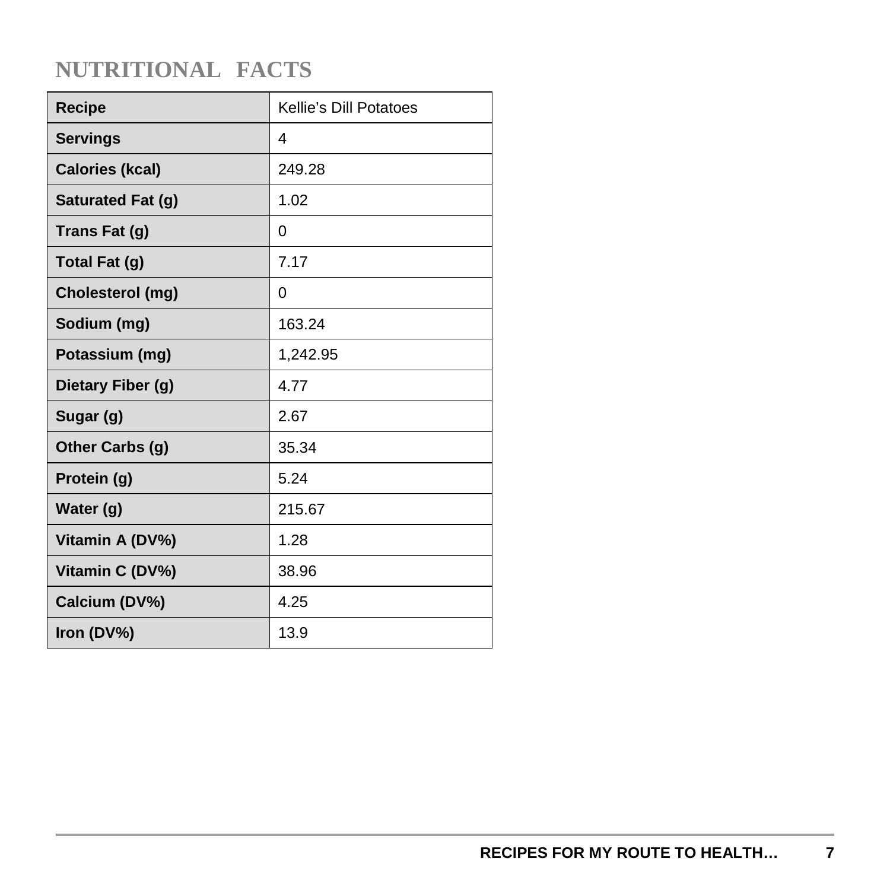| Recipe                 | Kellie's Dill Potatoes |
|------------------------|------------------------|
| <b>Servings</b>        | 4                      |
| <b>Calories (kcal)</b> | 249.28                 |
| Saturated Fat (g)      | 1.02                   |
| Trans Fat (g)          | 0                      |
| <b>Total Fat (g)</b>   | 7.17                   |
| Cholesterol (mg)       | 0                      |
| Sodium (mg)            | 163.24                 |
| Potassium (mg)         | 1,242.95               |
| Dietary Fiber (g)      | 4.77                   |
| Sugar (g)              | 2.67                   |
| Other Carbs (g)        | 35.34                  |
| Protein (g)            | 5.24                   |
| Water (g)              | 215.67                 |
| Vitamin A (DV%)        | 1.28                   |
| Vitamin C (DV%)        | 38.96                  |
| Calcium (DV%)          | 4.25                   |
| Iron (DV%)             | 13.9                   |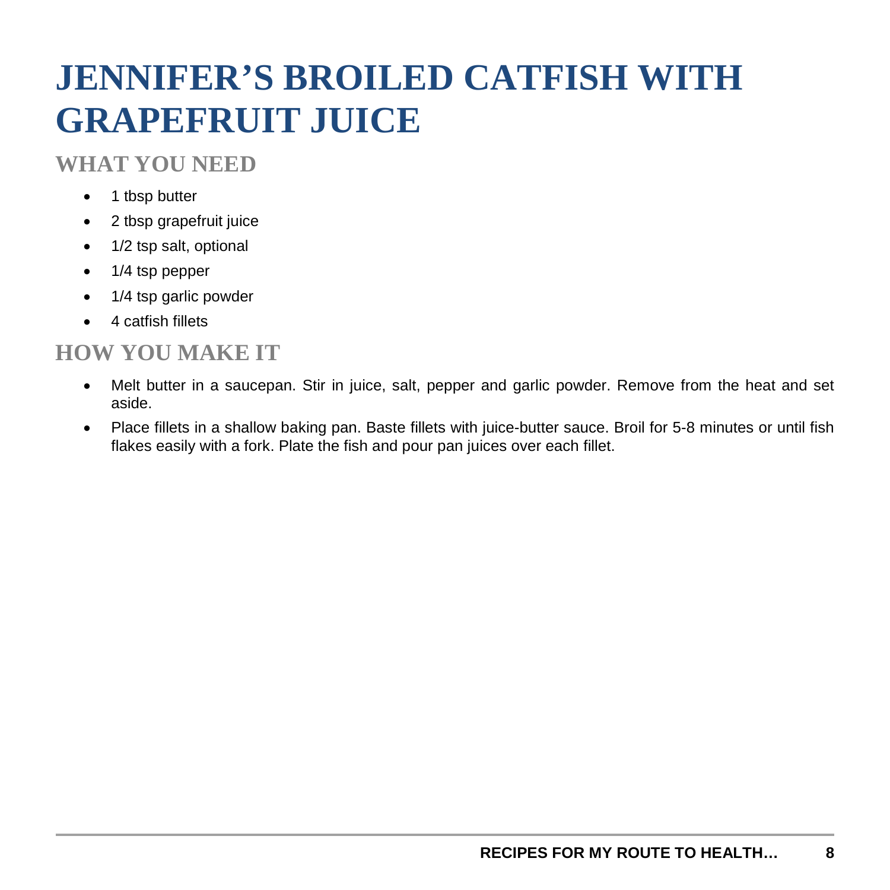## **JENNIFER'S BROILED CATFISH WITH GRAPEFRUIT JUICE**

#### **WHAT YOU NEED**

- 1 tbsp butter
- 2 tbsp grapefruit juice
- 1/2 tsp salt, optional
- 1/4 tsp pepper
- 1/4 tsp garlic powder
- 4 catfish fillets

- Melt butter in a saucepan. Stir in juice, salt, pepper and garlic powder. Remove from the heat and set aside.
- Place fillets in a shallow baking pan. Baste fillets with juice-butter sauce. Broil for 5-8 minutes or until fish flakes easily with a fork. Plate the fish and pour pan juices over each fillet.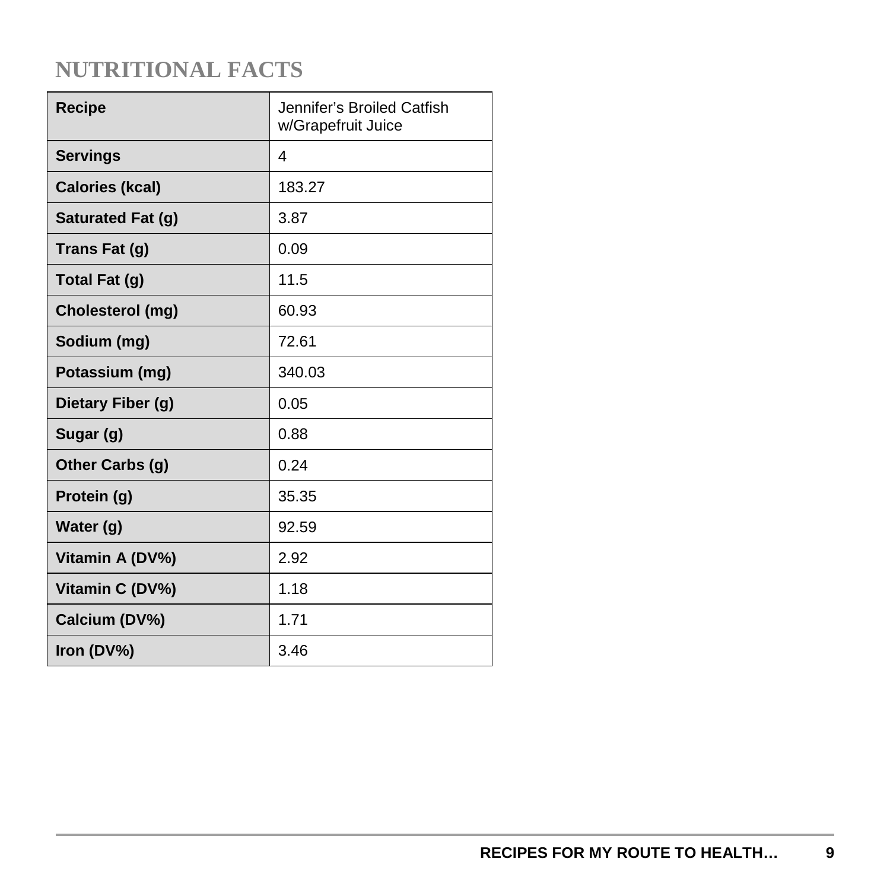| <b>Recipe</b>          | Jennifer's Broiled Catfish<br>w/Grapefruit Juice |
|------------------------|--------------------------------------------------|
| <b>Servings</b>        | 4                                                |
| <b>Calories (kcal)</b> | 183.27                                           |
| Saturated Fat (g)      | 3.87                                             |
| Trans Fat (g)          | 0.09                                             |
| Total Fat (g)          | 11.5                                             |
| Cholesterol (mg)       | 60.93                                            |
| Sodium (mg)            | 72.61                                            |
| Potassium (mg)         | 340.03                                           |
| Dietary Fiber (g)      | 0.05                                             |
| Sugar (g)              | 0.88                                             |
| Other Carbs (g)        | 0.24                                             |
| Protein (g)            | 35.35                                            |
| Water (g)              | 92.59                                            |
| Vitamin A (DV%)        | 2.92                                             |
| Vitamin C (DV%)        | 1.18                                             |
| Calcium (DV%)          | 1.71                                             |
| Iron (DV%)             | 3.46                                             |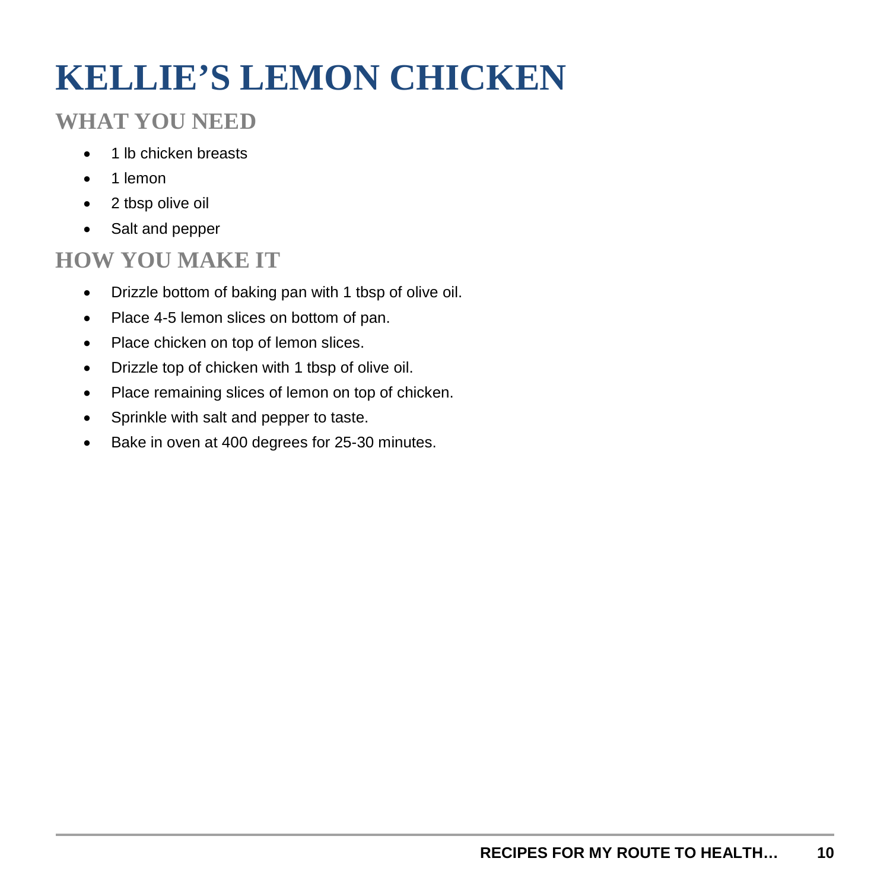## **KELLIE'S LEMON CHICKEN**

### **WHAT YOU NEED**

- 1 lb chicken breasts
- 1 lemon
- 2 tbsp olive oil
- Salt and pepper

- Drizzle bottom of baking pan with 1 tbsp of olive oil.
- Place 4-5 lemon slices on bottom of pan.
- Place chicken on top of lemon slices.
- Drizzle top of chicken with 1 tbsp of olive oil.
- Place remaining slices of lemon on top of chicken.
- Sprinkle with salt and pepper to taste.
- Bake in oven at 400 degrees for 25-30 minutes.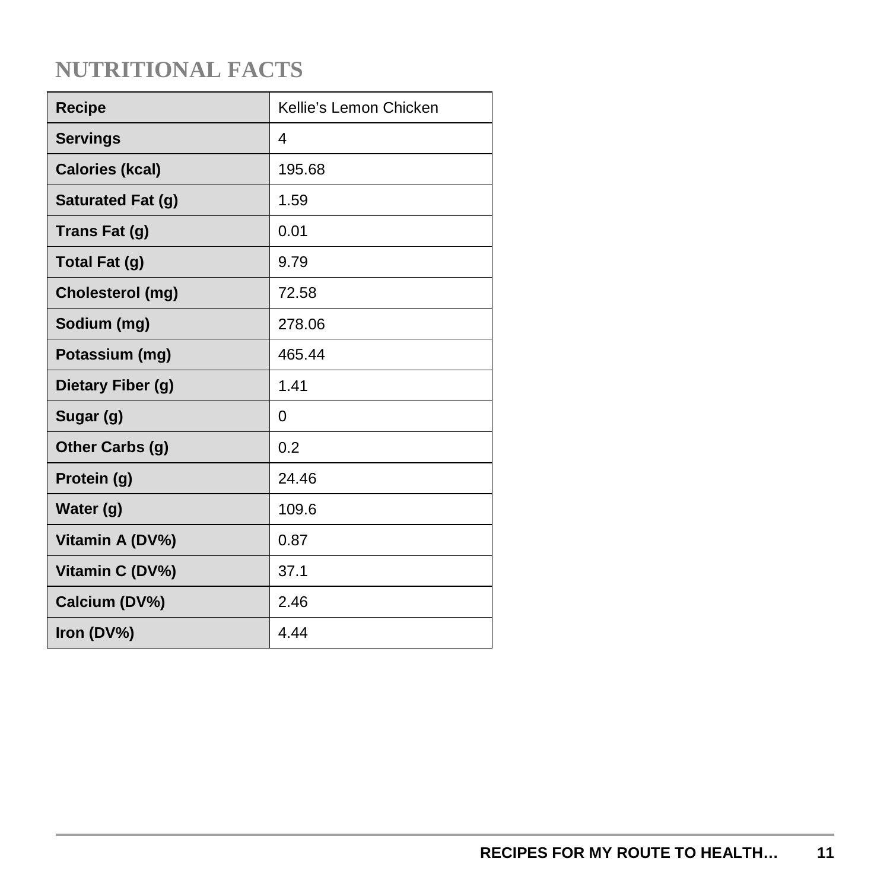| <b>Recipe</b>          | Kellie's Lemon Chicken |
|------------------------|------------------------|
| <b>Servings</b>        | 4                      |
| <b>Calories (kcal)</b> | 195.68                 |
| Saturated Fat (g)      | 1.59                   |
| Trans Fat (g)          | 0.01                   |
| Total Fat (g)          | 9.79                   |
| Cholesterol (mg)       | 72.58                  |
| Sodium (mg)            | 278.06                 |
| Potassium (mg)         | 465.44                 |
| Dietary Fiber (g)      | 1.41                   |
| Sugar (g)              | 0                      |
| Other Carbs (g)        | 0.2                    |
| Protein (g)            | 24.46                  |
| Water (g)              | 109.6                  |
| Vitamin A (DV%)        | 0.87                   |
| Vitamin C (DV%)        | 37.1                   |
| Calcium (DV%)          | 2.46                   |
| Iron (DV%)             | 4 4 4                  |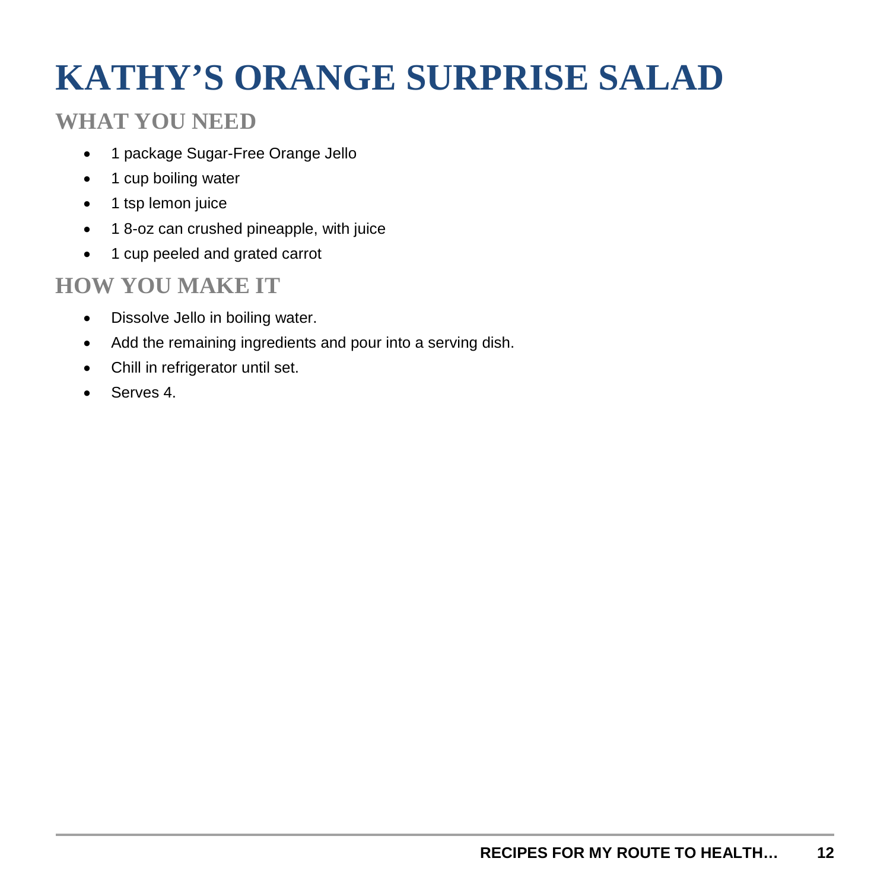## **KATHY'S ORANGE SURPRISE SALAD**

#### **WHAT YOU NEED**

- 1 package Sugar-Free Orange Jello
- 1 cup boiling water
- 1 tsp lemon juice
- 1 8-oz can crushed pineapple, with juice
- 1 cup peeled and grated carrot

- Dissolve Jello in boiling water.
- Add the remaining ingredients and pour into a serving dish.
- Chill in refrigerator until set.
- Serves 4.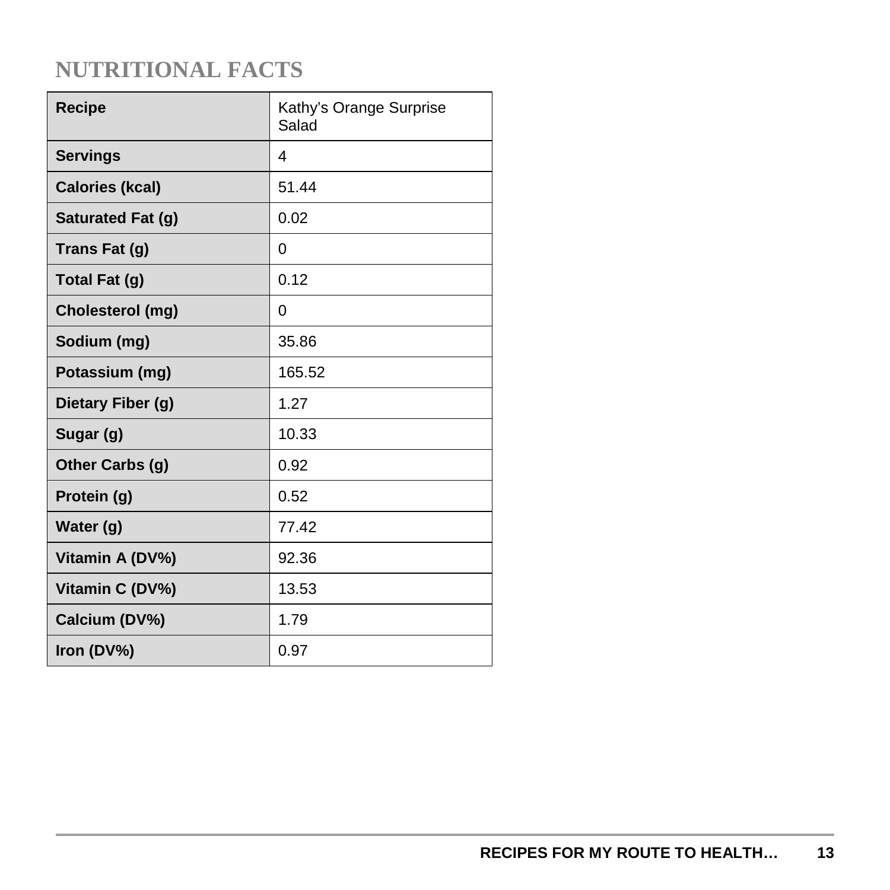| <b>Recipe</b>          | Kathy's Orange Surprise<br>Salad |
|------------------------|----------------------------------|
| <b>Servings</b>        | 4                                |
| <b>Calories (kcal)</b> | 51.44                            |
| Saturated Fat (g)      | 0.02                             |
| Trans Fat (g)          | 0                                |
| Total Fat (g)          | 0.12                             |
| Cholesterol (mg)       | 0                                |
| Sodium (mg)            | 35.86                            |
| Potassium (mg)         | 165.52                           |
| Dietary Fiber (g)      | 1.27                             |
| Sugar (g)              | 10.33                            |
| Other Carbs (g)        | 0.92                             |
| Protein (g)            | 0.52                             |
| Water (g)              | 77.42                            |
| Vitamin A (DV%)        | 92.36                            |
| Vitamin C (DV%)        | 13.53                            |
| Calcium (DV%)          | 1.79                             |
| Iron (DV%)             | 0.97                             |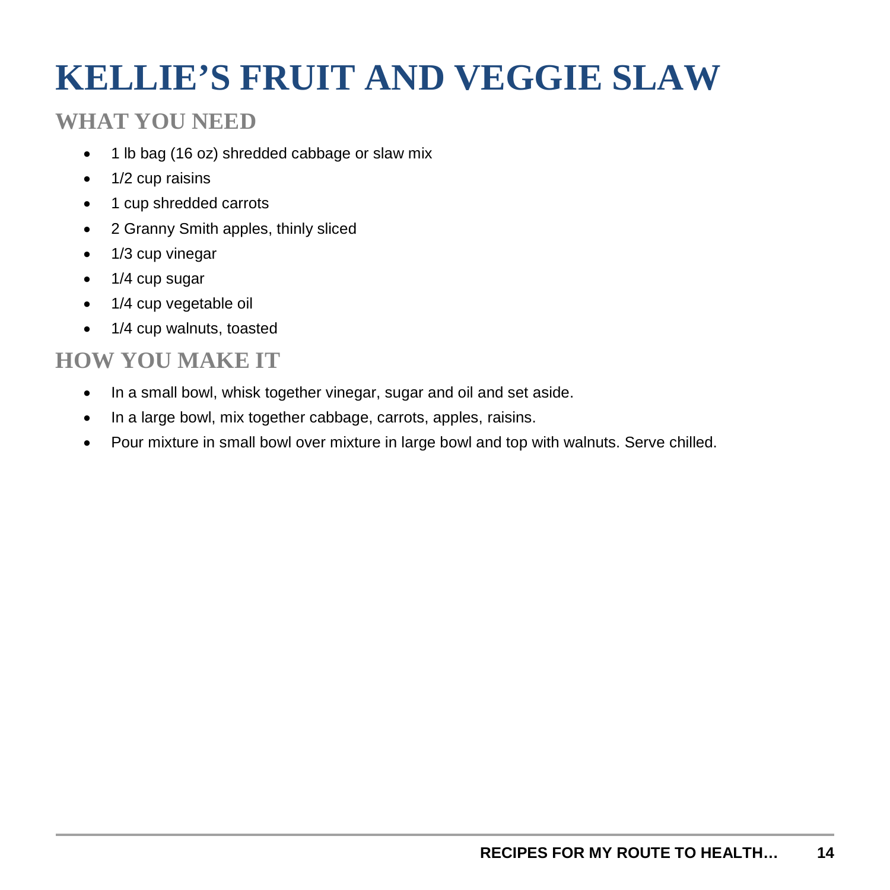## **KELLIE'S FRUIT AND VEGGIE SLAW**

#### **WHAT YOU NEED**

- 1 lb bag (16 oz) shredded cabbage or slaw mix
- 1/2 cup raisins
- 1 cup shredded carrots
- 2 Granny Smith apples, thinly sliced
- 1/3 cup vinegar
- 1/4 cup sugar
- 1/4 cup vegetable oil
- 1/4 cup walnuts, toasted

- In a small bowl, whisk together vinegar, sugar and oil and set aside.
- In a large bowl, mix together cabbage, carrots, apples, raisins.
- Pour mixture in small bowl over mixture in large bowl and top with walnuts. Serve chilled.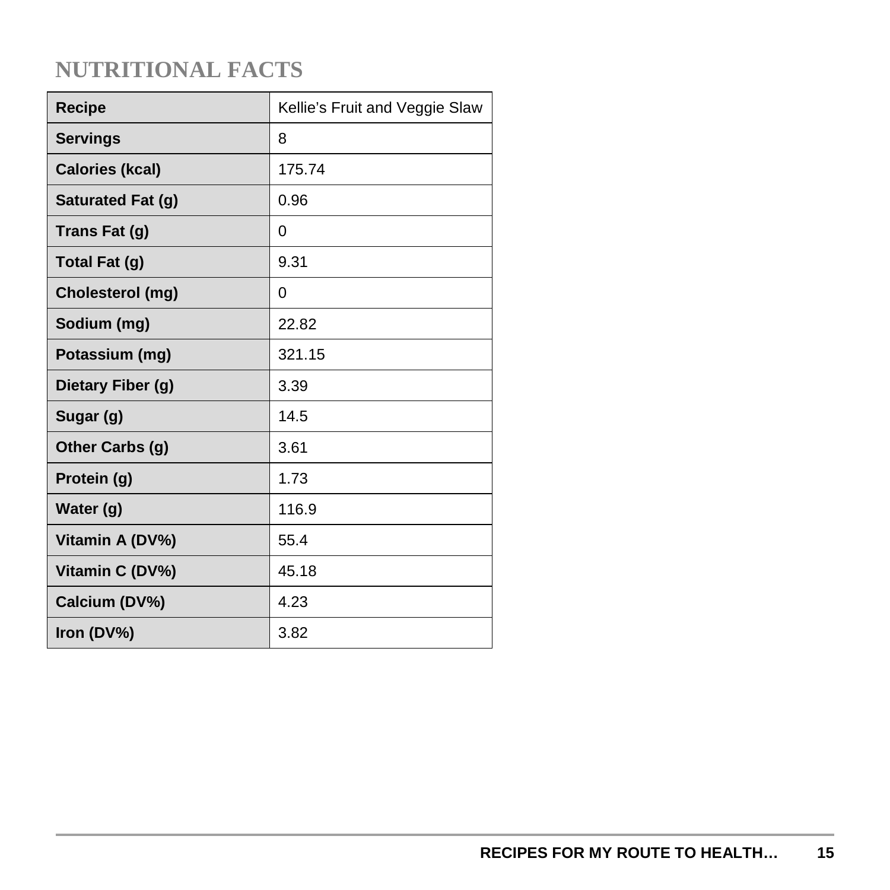| <b>Recipe</b>          | Kellie's Fruit and Veggie Slaw |
|------------------------|--------------------------------|
| <b>Servings</b>        | 8                              |
| <b>Calories (kcal)</b> | 175.74                         |
| Saturated Fat (g)      | 0.96                           |
| Trans Fat (g)          | 0                              |
| Total Fat (g)          | 9.31                           |
| Cholesterol (mg)       | 0                              |
| Sodium (mg)            | 22.82                          |
| Potassium (mg)         | 321.15                         |
| Dietary Fiber (g)      | 3.39                           |
| Sugar (g)              | 14.5                           |
| Other Carbs (g)        | 3.61                           |
| Protein (g)            | 1.73                           |
| Water (g)              | 116.9                          |
| Vitamin A (DV%)        | 55.4                           |
| Vitamin C (DV%)        | 45.18                          |
| Calcium (DV%)          | 4.23                           |
| Iron (DV%)             | 3.82                           |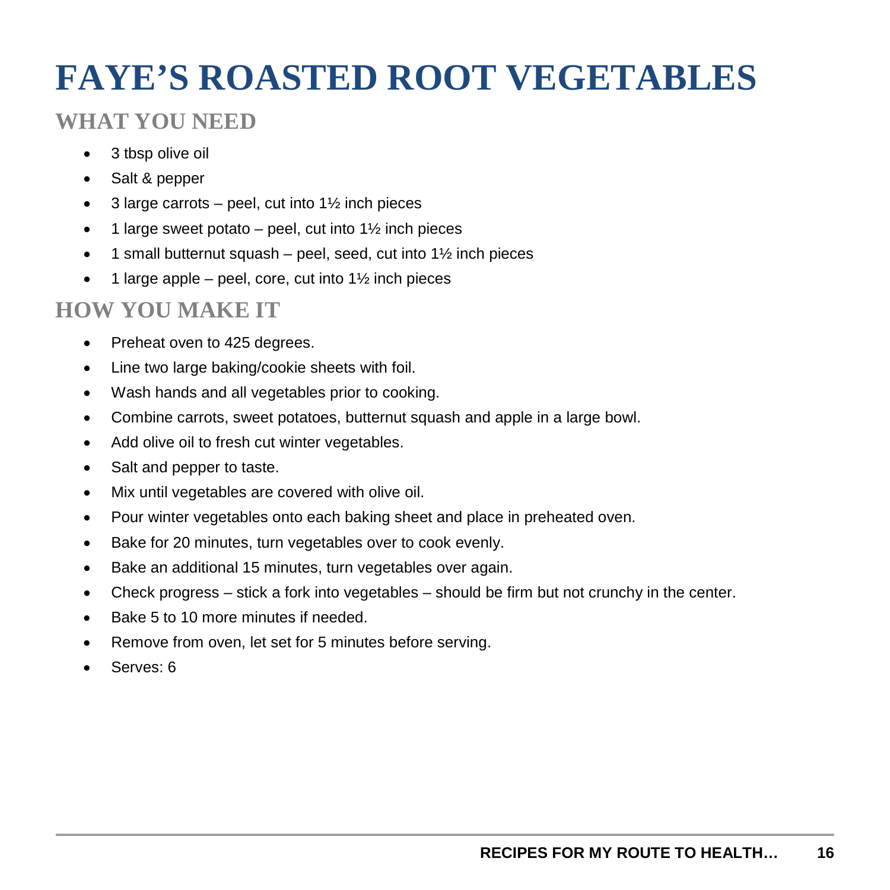## **FAYE'S ROASTED ROOT VEGETABLES**

### **WHAT YOU NEED**

- 3 tbsp olive oil
- Salt & pepper
- 3 large carrots peel, cut into  $1\frac{1}{2}$  inch pieces
- 1 large sweet potato peel, cut into  $1\frac{1}{2}$  inch pieces
- $\bullet$  1 small butternut squash peel, seed, cut into 1 $\frac{1}{2}$  inch pieces
- $\bullet$  1 large apple peel, core, cut into 1½ inch pieces

- Preheat oven to 425 degrees.
- Line two large baking/cookie sheets with foil.
- Wash hands and all vegetables prior to cooking.
- Combine carrots, sweet potatoes, butternut squash and apple in a large bowl.
- Add olive oil to fresh cut winter vegetables.
- Salt and pepper to taste.
- Mix until vegetables are covered with olive oil.
- Pour winter vegetables onto each baking sheet and place in preheated oven.
- Bake for 20 minutes, turn vegetables over to cook evenly.
- Bake an additional 15 minutes, turn vegetables over again.
- Check progress stick a fork into vegetables should be firm but not crunchy in the center.
- Bake 5 to 10 more minutes if needed.
- Remove from oven, let set for 5 minutes before serving.
- Serves: 6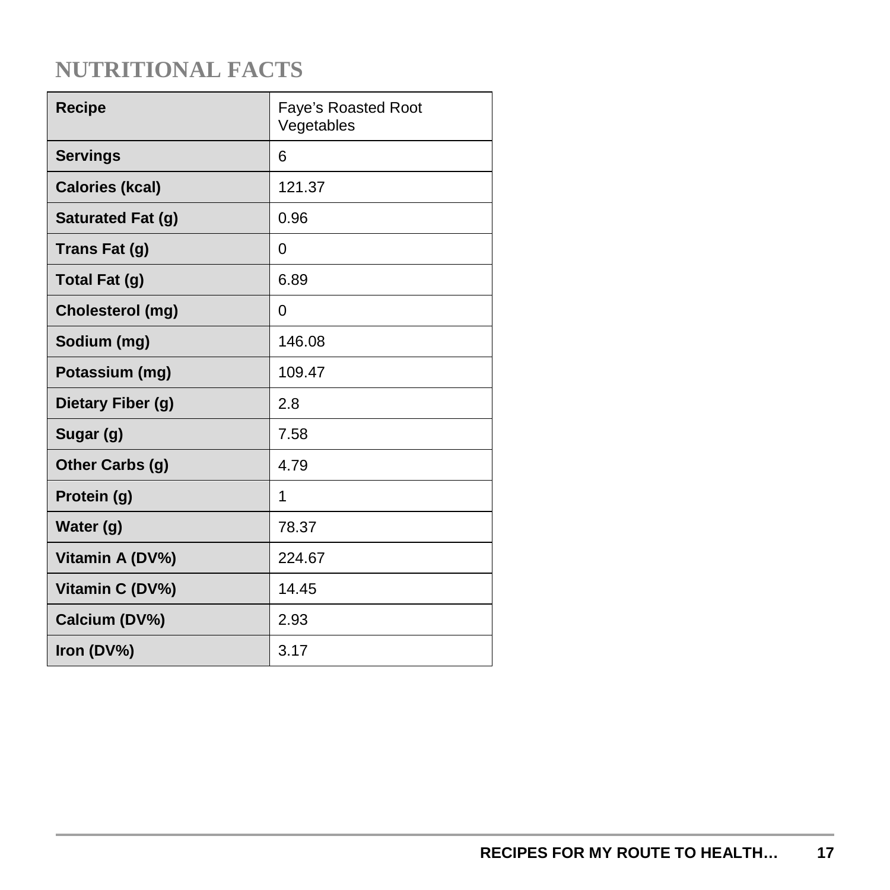| <b>Recipe</b>          | <b>Faye's Roasted Root</b><br>Vegetables |
|------------------------|------------------------------------------|
| <b>Servings</b>        | 6                                        |
| <b>Calories (kcal)</b> | 121.37                                   |
| Saturated Fat (g)      | 0.96                                     |
| Trans Fat (g)          | 0                                        |
| Total Fat (g)          | 6.89                                     |
| Cholesterol (mg)       | 0                                        |
| Sodium (mg)            | 146.08                                   |
| Potassium (mg)         | 109.47                                   |
| Dietary Fiber (g)      | 2.8                                      |
| Sugar (g)              | 7.58                                     |
| Other Carbs (g)        | 4.79                                     |
| Protein (g)            | 1                                        |
| Water (g)              | 78.37                                    |
| Vitamin A (DV%)        | 224.67                                   |
| Vitamin C (DV%)        | 14.45                                    |
| Calcium (DV%)          | 2.93                                     |
| Iron (DV%)             | 3.17                                     |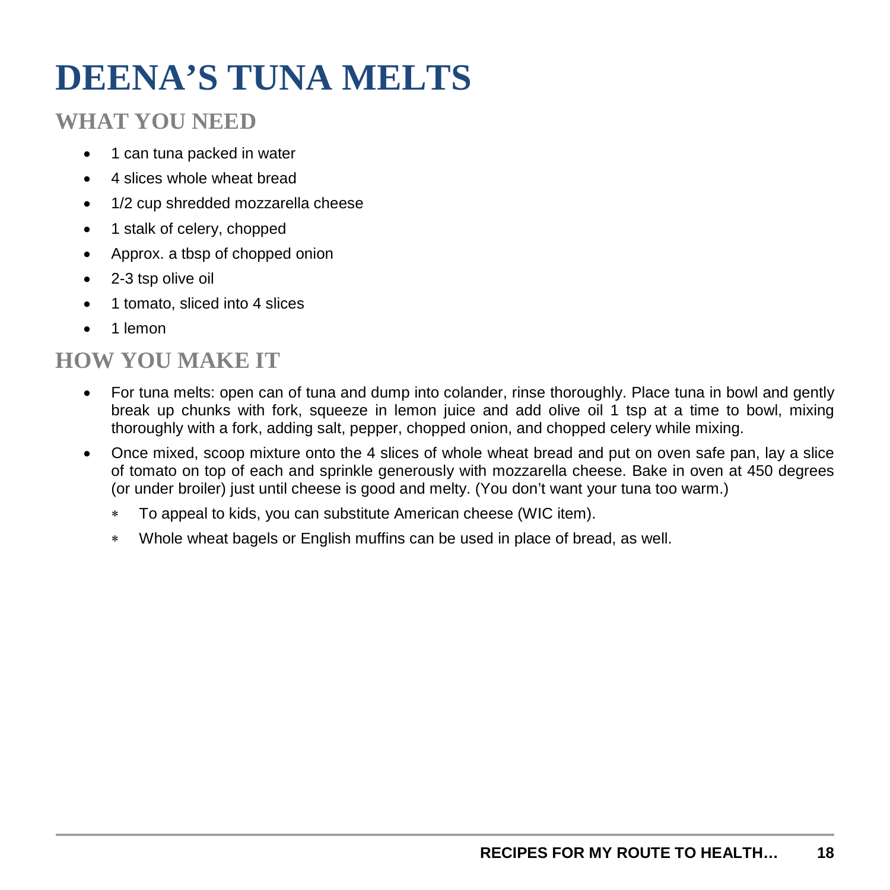## **DEENA'S TUNA MELTS**

#### **WHAT YOU NEED**

- 1 can tuna packed in water
- 4 slices whole wheat bread
- 1/2 cup shredded mozzarella cheese
- 1 stalk of celery, chopped
- Approx. a tbsp of chopped onion
- 2-3 tsp olive oil
- 1 tomato, sliced into 4 slices
- 1 lemon

- For tuna melts: open can of tuna and dump into colander, rinse thoroughly. Place tuna in bowl and gently break up chunks with fork, squeeze in lemon juice and add olive oil 1 tsp at a time to bowl, mixing thoroughly with a fork, adding salt, pepper, chopped onion, and chopped celery while mixing.
- Once mixed, scoop mixture onto the 4 slices of whole wheat bread and put on oven safe pan, lay a slice of tomato on top of each and sprinkle generously with mozzarella cheese. Bake in oven at 450 degrees (or under broiler) just until cheese is good and melty. (You don't want your tuna too warm.)
	- ∗ To appeal to kids, you can substitute American cheese (WIC item).
	- ∗ Whole wheat bagels or English muffins can be used in place of bread, as well.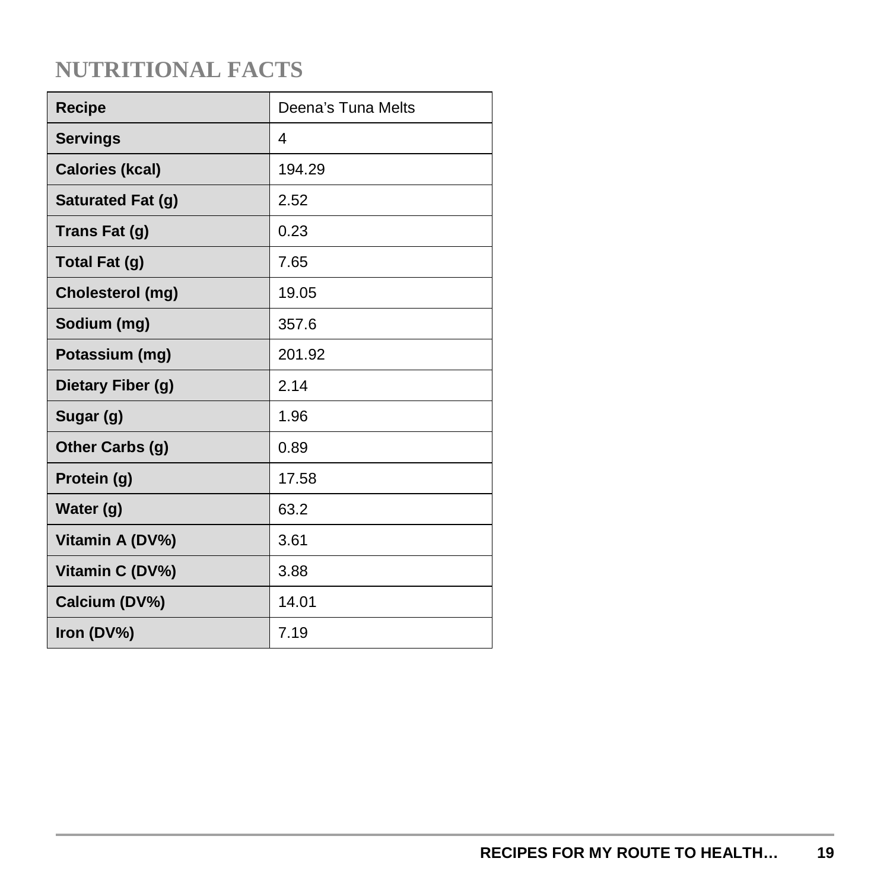| <b>Recipe</b>          | Deena's Tuna Melts |
|------------------------|--------------------|
| <b>Servings</b>        | 4                  |
| <b>Calories (kcal)</b> | 194.29             |
| Saturated Fat (g)      | 2.52               |
| Trans Fat (g)          | 0.23               |
| Total Fat (g)          | 7.65               |
| Cholesterol (mg)       | 19.05              |
| Sodium (mg)            | 357.6              |
| Potassium (mg)         | 201.92             |
| Dietary Fiber (g)      | 2.14               |
| Sugar (g)              | 1.96               |
| Other Carbs (g)        | 0.89               |
| Protein (g)            | 17.58              |
| Water (g)              | 63.2               |
| Vitamin A (DV%)        | 3.61               |
| Vitamin C (DV%)        | 3.88               |
| Calcium (DV%)          | 14.01              |
| Iron (DV%)             | 7.19               |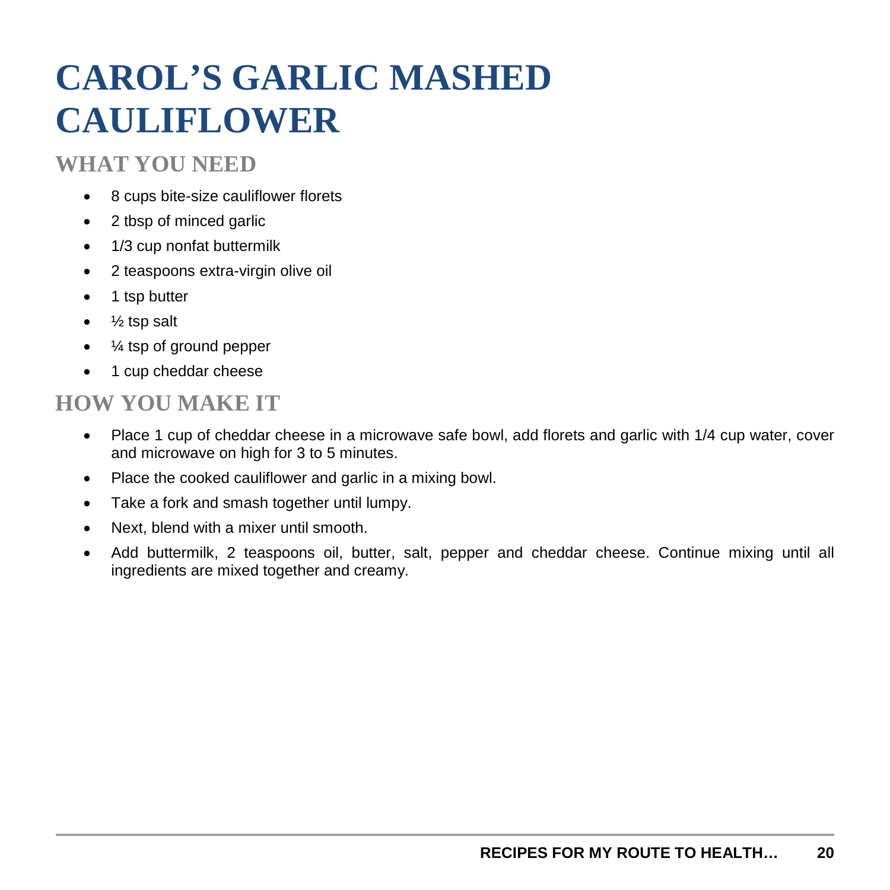## **CAROL'S GARLIC MASHED CAULIFLOWER**

#### **WHAT YOU NEED**

- 8 cups bite-size cauliflower florets
- 2 tbsp of minced garlic
- 1/3 cup nonfat buttermilk
- 2 teaspoons extra-virgin olive oil
- 1 tsp butter
- $\bullet$  % tsp salt
- $\frac{1}{4}$  tsp of ground pepper
- 1 cup cheddar cheese

- Place 1 cup of cheddar cheese in a microwave safe bowl, add florets and garlic with 1/4 cup water, cover and microwave on high for 3 to 5 minutes.
- Place the cooked cauliflower and garlic in a mixing bowl.
- Take a fork and smash together until lumpy.
- Next, blend with a mixer until smooth.
- Add buttermilk, 2 teaspoons oil, butter, salt, pepper and cheddar cheese. Continue mixing until all ingredients are mixed together and creamy.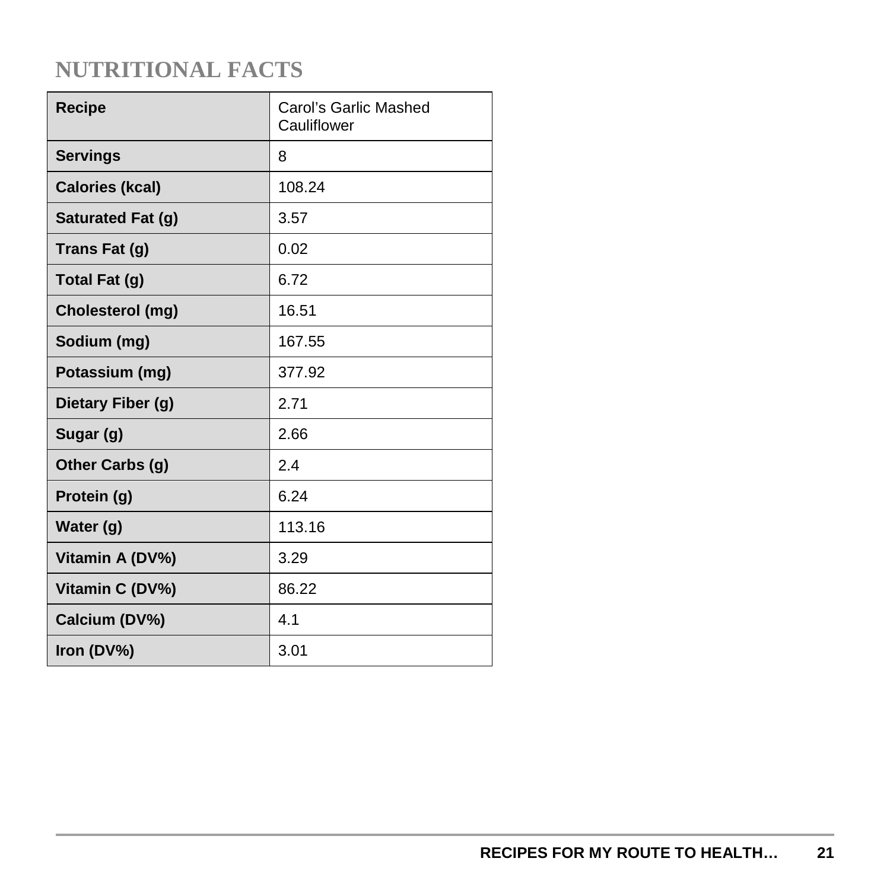| <b>Recipe</b>          | Carol's Garlic Mashed<br>Cauliflower |
|------------------------|--------------------------------------|
| <b>Servings</b>        | 8                                    |
| <b>Calories (kcal)</b> | 108.24                               |
| Saturated Fat (g)      | 3.57                                 |
| Trans Fat (g)          | 0.02                                 |
| Total Fat (g)          | 6.72                                 |
| Cholesterol (mg)       | 16.51                                |
| Sodium (mg)            | 167.55                               |
| Potassium (mg)         | 377.92                               |
| Dietary Fiber (g)      | 2.71                                 |
| Sugar (g)              | 2.66                                 |
| Other Carbs (g)        | 2.4                                  |
| Protein (g)            | 6.24                                 |
| Water (g)              | 113.16                               |
| Vitamin A (DV%)        | 3.29                                 |
| Vitamin C (DV%)        | 86.22                                |
| Calcium (DV%)          | 4.1                                  |
| Iron (DV%)             | 3.01                                 |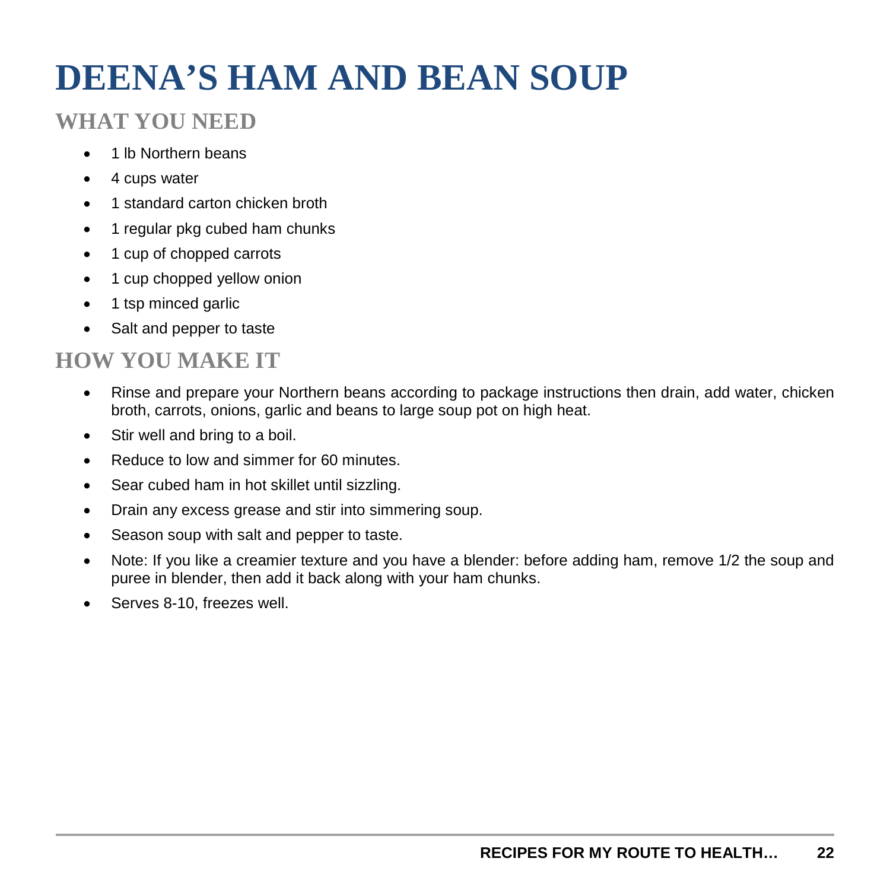## **DEENA'S HAM AND BEAN SOUP**

#### **WHAT YOU NEED**

- 1 lb Northern beans
- 4 cups water
- 1 standard carton chicken broth
- 1 regular pkg cubed ham chunks
- 1 cup of chopped carrots
- 1 cup chopped yellow onion
- 1 tsp minced garlic
- Salt and pepper to taste

- Rinse and prepare your Northern beans according to package instructions then drain, add water, chicken broth, carrots, onions, garlic and beans to large soup pot on high heat.
- Stir well and bring to a boil.
- Reduce to low and simmer for 60 minutes.
- Sear cubed ham in hot skillet until sizzling.
- Drain any excess grease and stir into simmering soup.
- Season soup with salt and pepper to taste.
- Note: If you like a creamier texture and you have a blender: before adding ham, remove 1/2 the soup and puree in blender, then add it back along with your ham chunks.
- Serves 8-10, freezes well.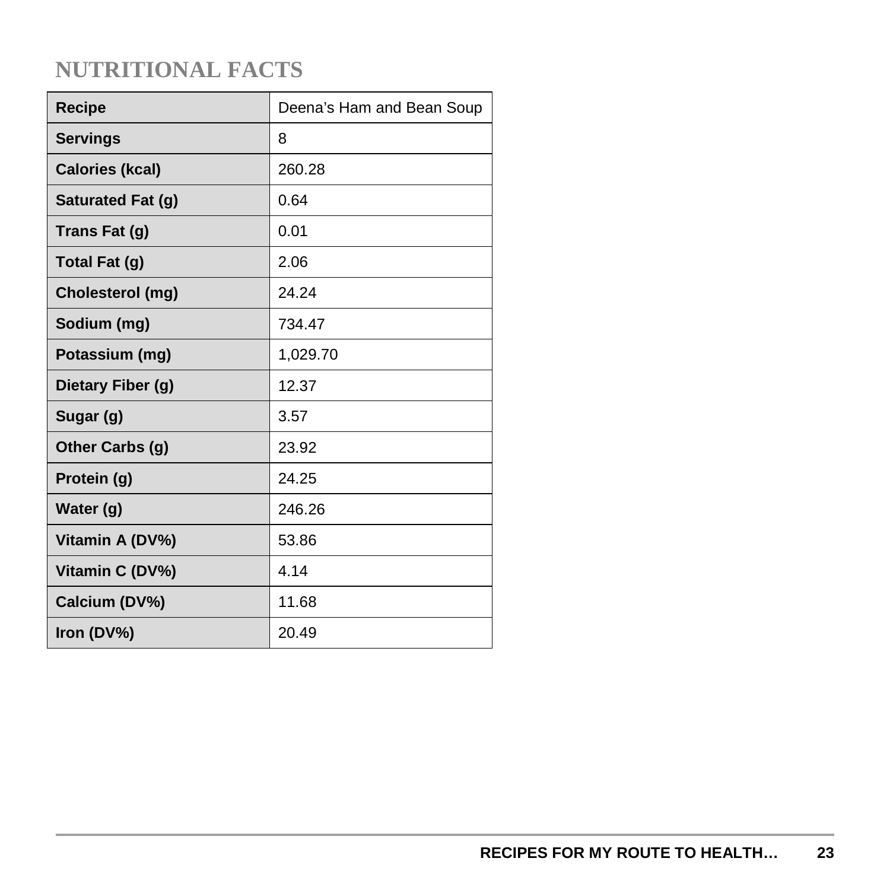| Recipe                 | Deena's Ham and Bean Soup |
|------------------------|---------------------------|
| <b>Servings</b>        | 8                         |
| <b>Calories (kcal)</b> | 260.28                    |
| Saturated Fat (g)      | 0.64                      |
| Trans Fat (g)          | 0.01                      |
| Total Fat (g)          | 2.06                      |
| Cholesterol (mg)       | 24.24                     |
| Sodium (mg)            | 734.47                    |
| Potassium (mg)         | 1,029.70                  |
| Dietary Fiber (g)      | 12.37                     |
| Sugar (g)              | 3.57                      |
| Other Carbs (g)        | 23.92                     |
| Protein (g)            | 24.25                     |
| Water (g)              | 246.26                    |
| Vitamin A (DV%)        | 53.86                     |
| Vitamin C (DV%)        | 4.14                      |
| Calcium (DV%)          | 11.68                     |
| Iron (DV%)             | 20.49                     |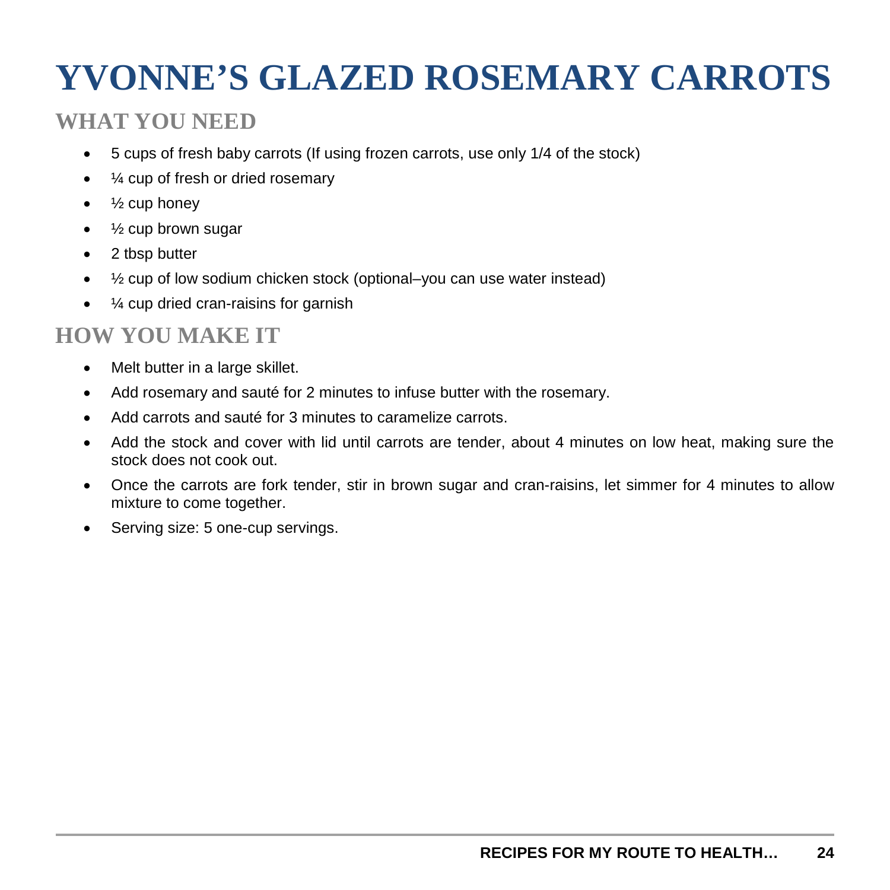## **YVONNE'S GLAZED ROSEMARY CARROTS**

#### **WHAT YOU NEED**

- 5 cups of fresh baby carrots (If using frozen carrots, use only 1/4 of the stock)
- ¼ cup of fresh or dried rosemary
- $\bullet$   $\frac{1}{2}$  cup honey
- 1/2 cup brown sugar
- 2 tbsp butter
- 1/2 cup of low sodium chicken stock (optional–you can use water instead)
- $\frac{1}{4}$  cup dried cran-raisins for garnish

- Melt butter in a large skillet.
- Add rosemary and sauté for 2 minutes to infuse butter with the rosemary.
- Add carrots and sauté for 3 minutes to caramelize carrots.
- Add the stock and cover with lid until carrots are tender, about 4 minutes on low heat, making sure the stock does not cook out.
- Once the carrots are fork tender, stir in brown sugar and cran-raisins, let simmer for 4 minutes to allow mixture to come together.
- Serving size: 5 one-cup servings.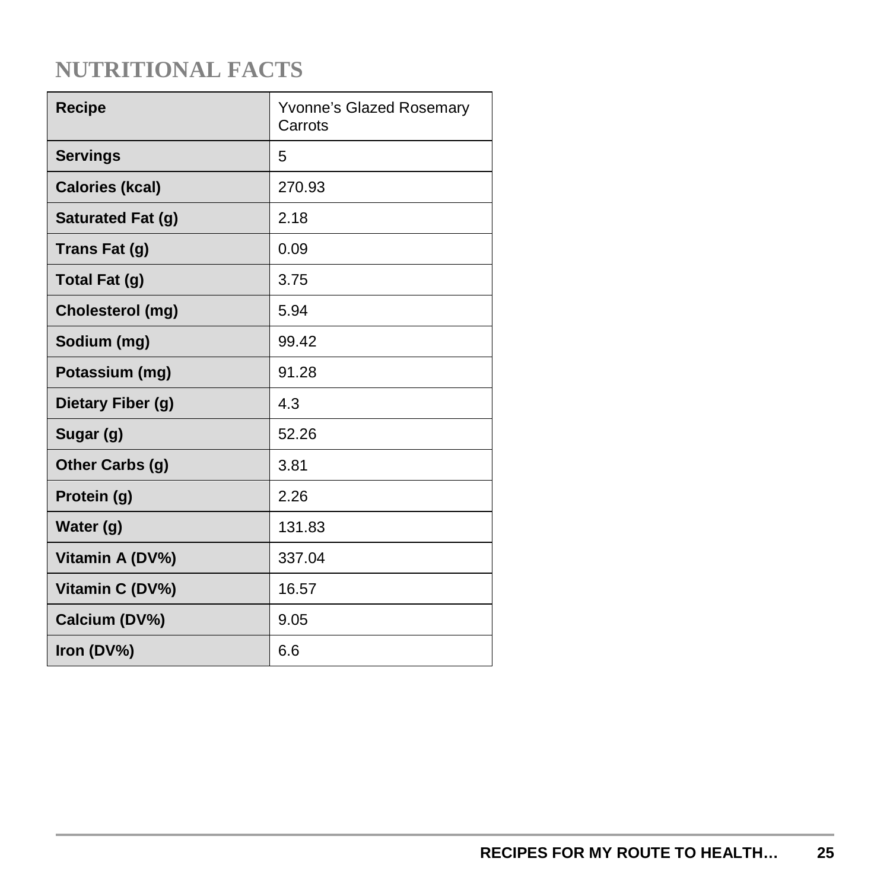| <b>Recipe</b>          | Yvonne's Glazed Rosemary<br>Carrots |
|------------------------|-------------------------------------|
| <b>Servings</b>        | 5                                   |
| <b>Calories (kcal)</b> | 270.93                              |
| Saturated Fat (g)      | 2.18                                |
| Trans Fat (g)          | 0.09                                |
| Total Fat (g)          | 3.75                                |
| Cholesterol (mg)       | 5.94                                |
| Sodium (mg)            | 99.42                               |
| Potassium (mg)         | 91.28                               |
| Dietary Fiber (g)      | 4.3                                 |
| Sugar (g)              | 52.26                               |
| Other Carbs (g)        | 3.81                                |
| Protein (g)            | 2.26                                |
| Water (g)              | 131.83                              |
| Vitamin A (DV%)        | 337.04                              |
| Vitamin C (DV%)        | 16.57                               |
| Calcium (DV%)          | 9.05                                |
| Iron (DV%)             | 6.6                                 |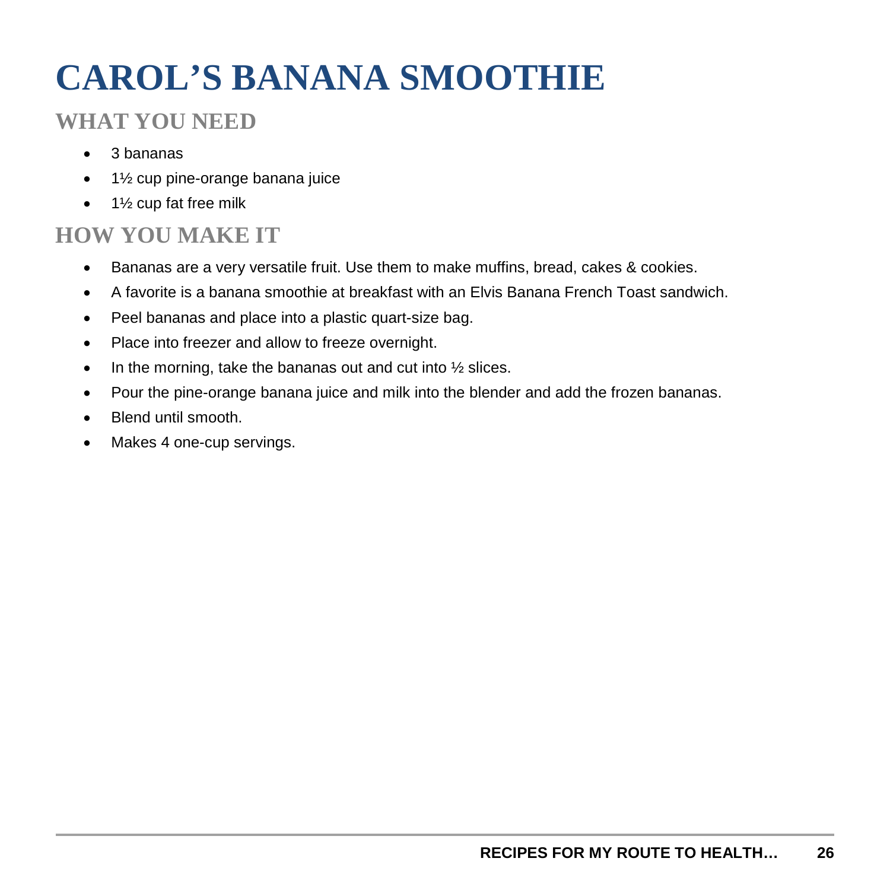# **CAROL'S BANANA SMOOTHIE**

#### **WHAT YOU NEED**

- 3 bananas
- 1½ cup pine-orange banana juice
- 1½ cup fat free milk

- Bananas are a very versatile fruit. Use them to make muffins, bread, cakes & cookies.
- A favorite is a banana smoothie at breakfast with an Elvis Banana French Toast sandwich.
- Peel bananas and place into a plastic quart-size bag.
- Place into freezer and allow to freeze overnight.
- In the morning, take the bananas out and cut into  $\frac{1}{2}$  slices.
- Pour the pine-orange banana juice and milk into the blender and add the frozen bananas.
- Blend until smooth.
- Makes 4 one-cup servings.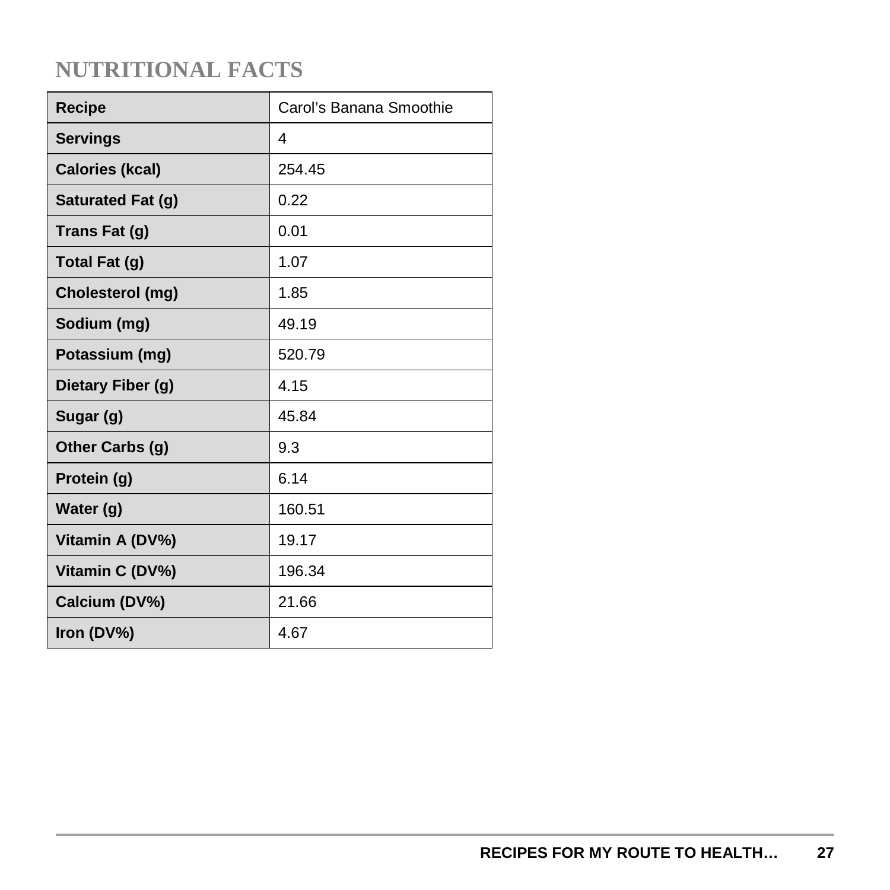| <b>Recipe</b>           | Carol's Banana Smoothie |
|-------------------------|-------------------------|
| <b>Servings</b>         | 4                       |
| <b>Calories (kcal)</b>  | 254.45                  |
| Saturated Fat (g)       | 0.22                    |
| Trans Fat (g)           | 0.01                    |
| Total Fat (g)           | 1.07                    |
| <b>Cholesterol (mg)</b> | 1.85                    |
| Sodium (mg)             | 49.19                   |
| Potassium (mg)          | 520.79                  |
| Dietary Fiber (g)       | 4.15                    |
| Sugar (g)               | 45.84                   |
| Other Carbs (g)         | 9.3                     |
| Protein (g)             | 6.14                    |
| Water (g)               | 160.51                  |
| Vitamin A (DV%)         | 19.17                   |
| Vitamin C (DV%)         | 196.34                  |
| Calcium (DV%)           | 21.66                   |
| Iron (DV%)              | 4.67                    |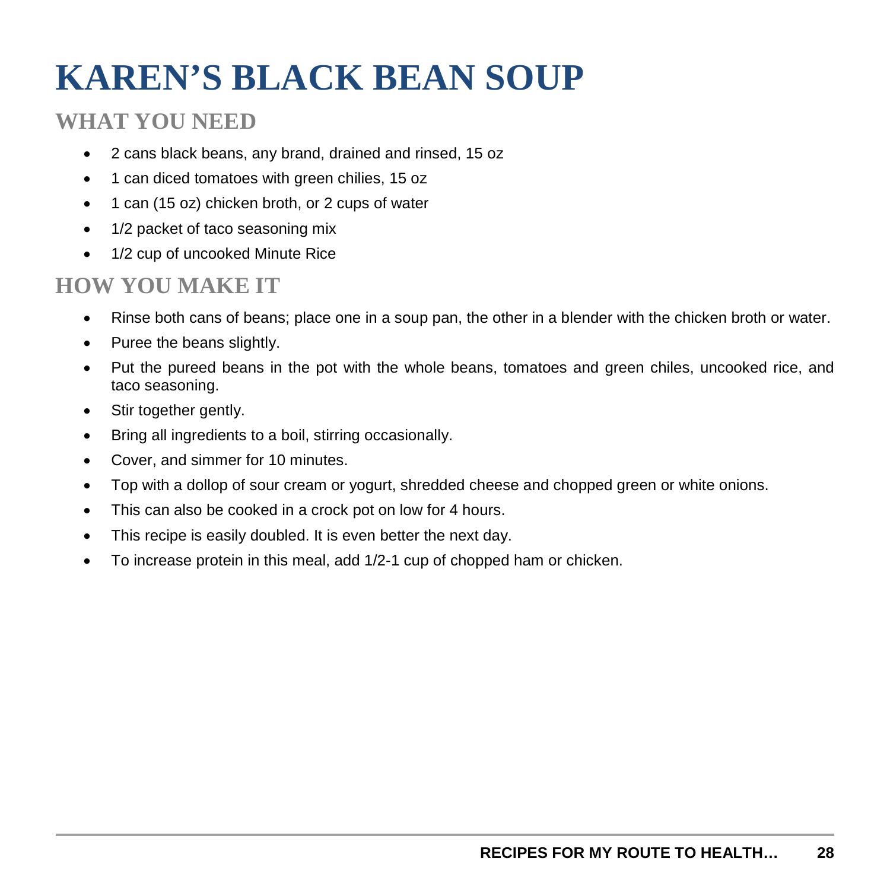## **KAREN'S BLACK BEAN SOUP**

#### **WHAT YOU NEED**

- 2 cans black beans, any brand, drained and rinsed, 15 oz
- 1 can diced tomatoes with green chilies, 15 oz
- 1 can (15 oz) chicken broth, or 2 cups of water
- 1/2 packet of taco seasoning mix
- 1/2 cup of uncooked Minute Rice

- Rinse both cans of beans; place one in a soup pan, the other in a blender with the chicken broth or water.
- Puree the beans slightly.
- Put the pureed beans in the pot with the whole beans, tomatoes and green chiles, uncooked rice, and taco seasoning.
- Stir together gently.
- Bring all ingredients to a boil, stirring occasionally.
- Cover, and simmer for 10 minutes.
- Top with a dollop of sour cream or yogurt, shredded cheese and chopped green or white onions.
- This can also be cooked in a crock pot on low for 4 hours.
- This recipe is easily doubled. It is even better the next day.
- To increase protein in this meal, add 1/2-1 cup of chopped ham or chicken.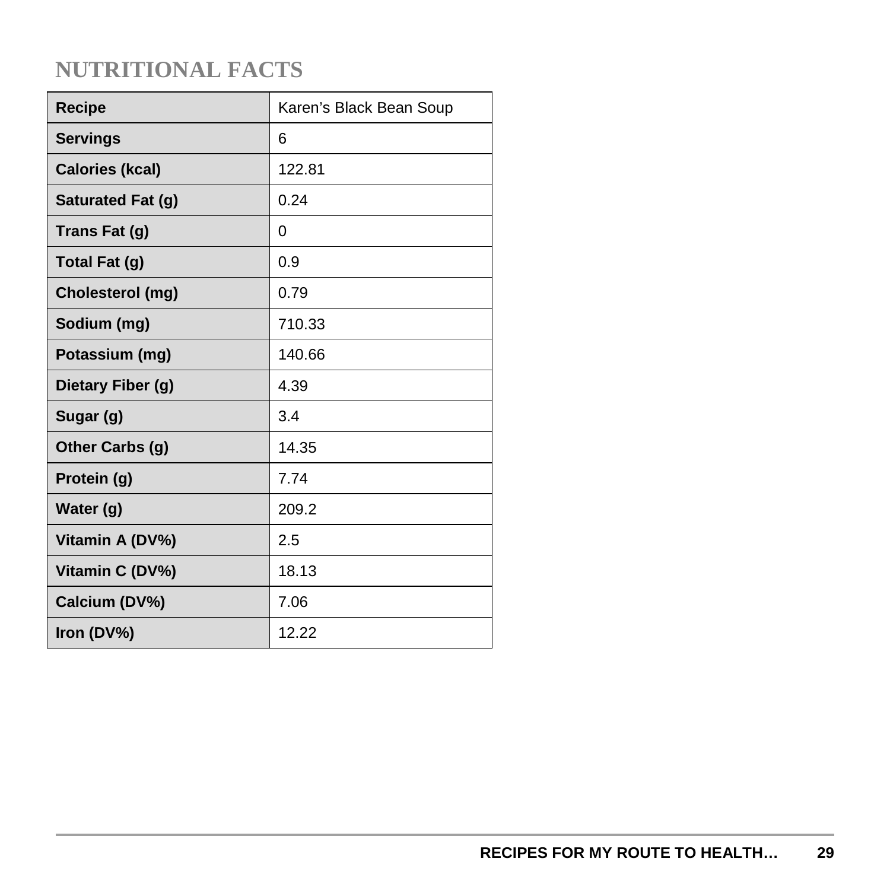| <b>Recipe</b>            | Karen's Black Bean Soup |
|--------------------------|-------------------------|
| <b>Servings</b>          | 6                       |
| <b>Calories (kcal)</b>   | 122.81                  |
| <b>Saturated Fat (g)</b> | 0.24                    |
| Trans Fat (g)            | 0                       |
| Total Fat (g)            | 0.9                     |
| Cholesterol (mg)         | 0.79                    |
| Sodium (mg)              | 710.33                  |
| Potassium (mg)           | 140.66                  |
| Dietary Fiber (g)        | 4.39                    |
| Sugar (g)                | 3.4                     |
| Other Carbs (g)          | 14.35                   |
| Protein (g)              | 7.74                    |
| Water (g)                | 209.2                   |
| Vitamin A (DV%)          | 2.5                     |
| Vitamin C (DV%)          | 18.13                   |
| Calcium (DV%)            | 7.06                    |
| Iron (DV%)               | 12.22                   |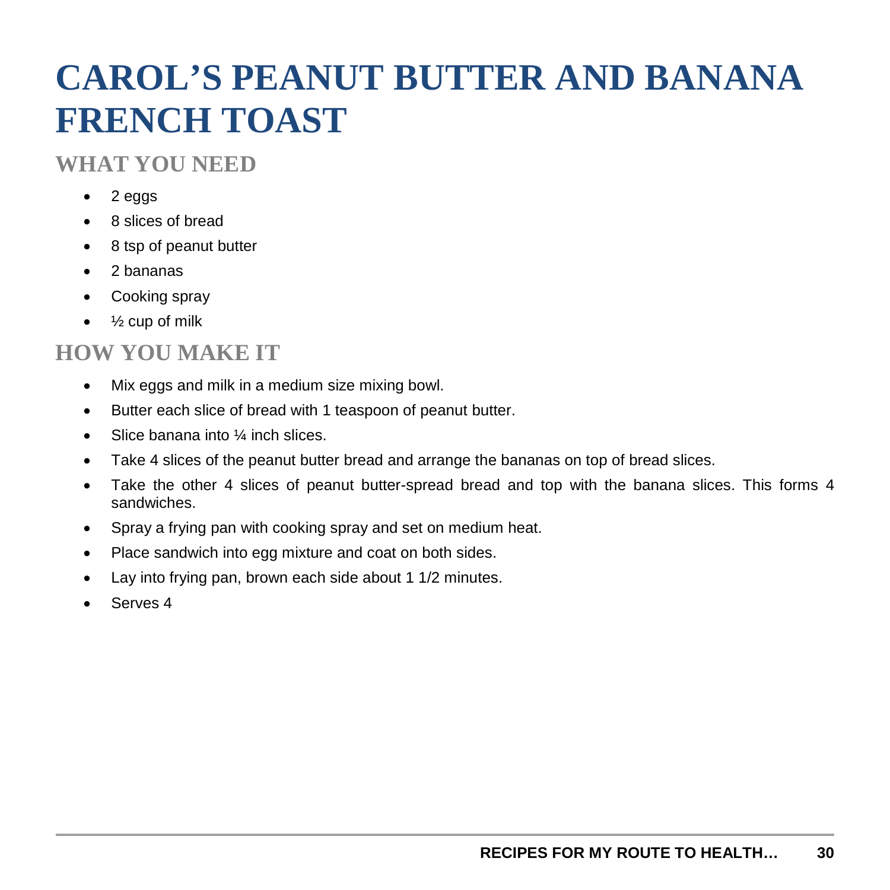## **CAROL'S PEANUT BUTTER AND BANANA FRENCH TOAST**

#### **WHAT YOU NEED**

- 2 eggs
- 8 slices of bread
- 8 tsp of peanut butter
- 2 bananas
- Cooking spray
- $\bullet$   $\frac{1}{2}$  cup of milk

- Mix eggs and milk in a medium size mixing bowl.
- Butter each slice of bread with 1 teaspoon of peanut butter.
- Slice banana into 1/4 inch slices.
- Take 4 slices of the peanut butter bread and arrange the bananas on top of bread slices.
- Take the other 4 slices of peanut butter-spread bread and top with the banana slices. This forms 4 sandwiches.
- Spray a frying pan with cooking spray and set on medium heat.
- Place sandwich into egg mixture and coat on both sides.
- Lay into frying pan, brown each side about 1 1/2 minutes.
- Serves 4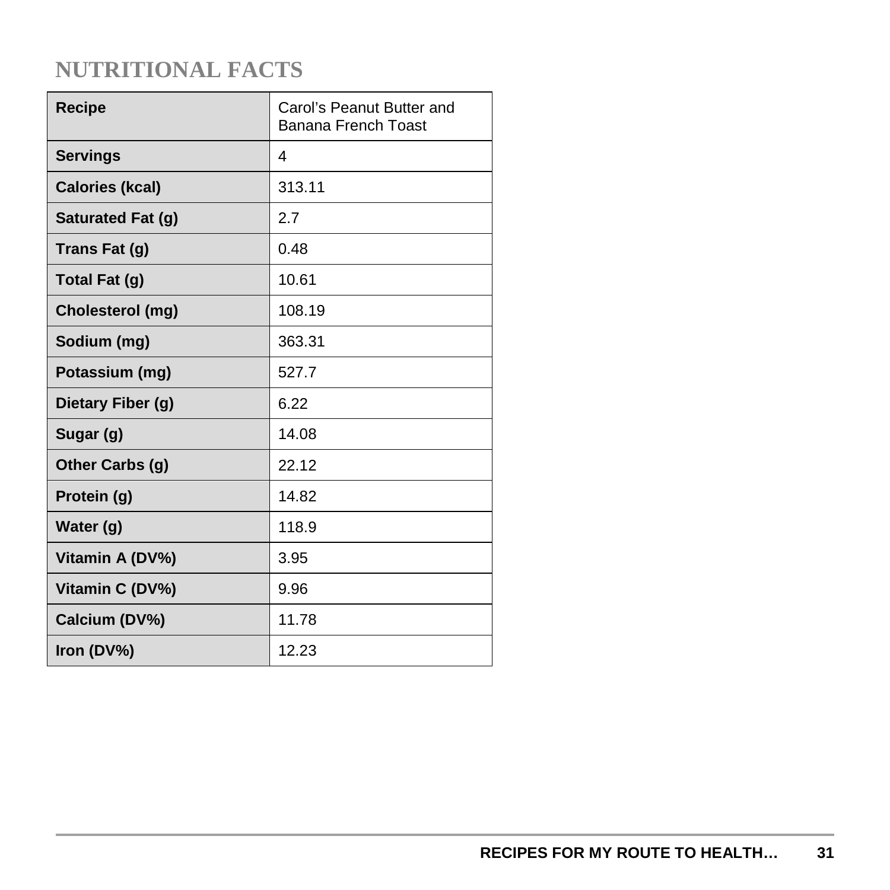| <b>Recipe</b>          | Carol's Peanut Butter and<br>Banana French Toast |
|------------------------|--------------------------------------------------|
| <b>Servings</b>        | 4                                                |
| <b>Calories (kcal)</b> | 313.11                                           |
| Saturated Fat (g)      | 2.7                                              |
| Trans Fat (g)          | 0.48                                             |
| Total Fat (g)          | 10.61                                            |
| Cholesterol (mg)       | 108.19                                           |
| Sodium (mg)            | 363.31                                           |
| Potassium (mg)         | 527.7                                            |
| Dietary Fiber (g)      | 6.22                                             |
| Sugar (g)              | 14.08                                            |
| Other Carbs (g)        | 22.12                                            |
| Protein (g)            | 14.82                                            |
| Water (g)              | 118.9                                            |
| Vitamin A (DV%)        | 3.95                                             |
| Vitamin C (DV%)        | 9.96                                             |
| Calcium (DV%)          | 11.78                                            |
| Iron (DV%)             | 12.23                                            |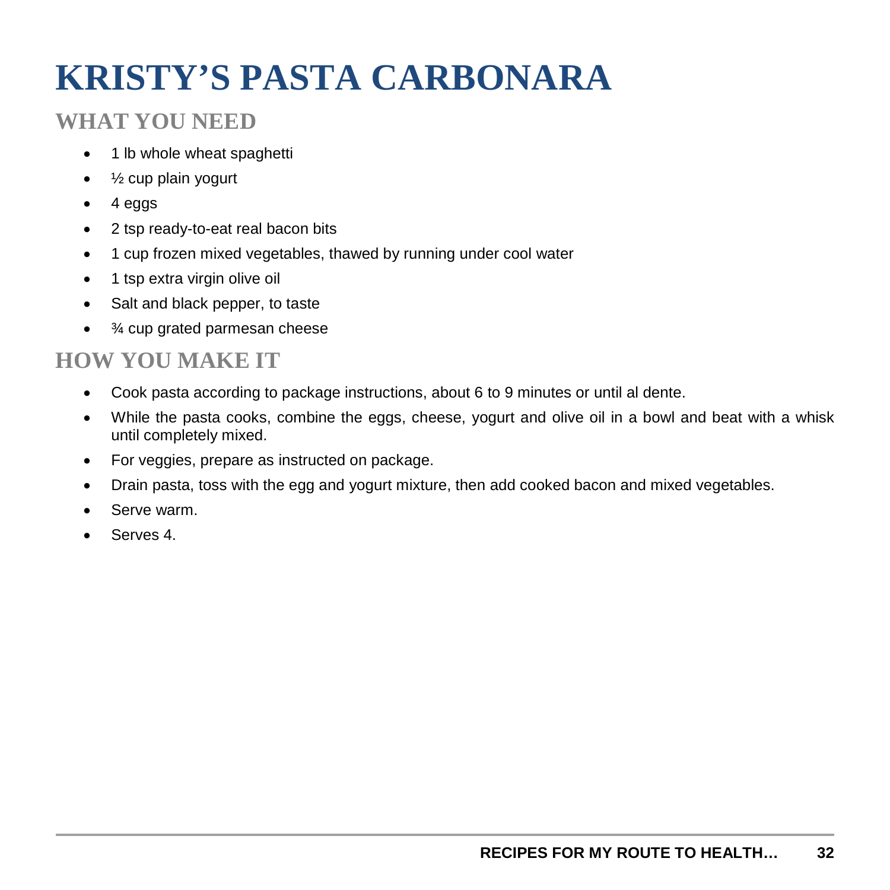## **KRISTY'S PASTA CARBONARA**

#### **WHAT YOU NEED**

- 1 lb whole wheat spaghetti
- ½ cup plain yogurt
- 4 eggs
- 2 tsp ready-to-eat real bacon bits
- 1 cup frozen mixed vegetables, thawed by running under cool water
- 1 tsp extra virgin olive oil
- Salt and black pepper, to taste
- <sup>3</sup>⁄4 cup grated parmesan cheese

- Cook pasta according to package instructions, about 6 to 9 minutes or until al dente.
- While the pasta cooks, combine the eggs, cheese, yogurt and olive oil in a bowl and beat with a whisk until completely mixed.
- For veggies, prepare as instructed on package.
- Drain pasta, toss with the egg and yogurt mixture, then add cooked bacon and mixed vegetables.
- Serve warm.
- Serves 4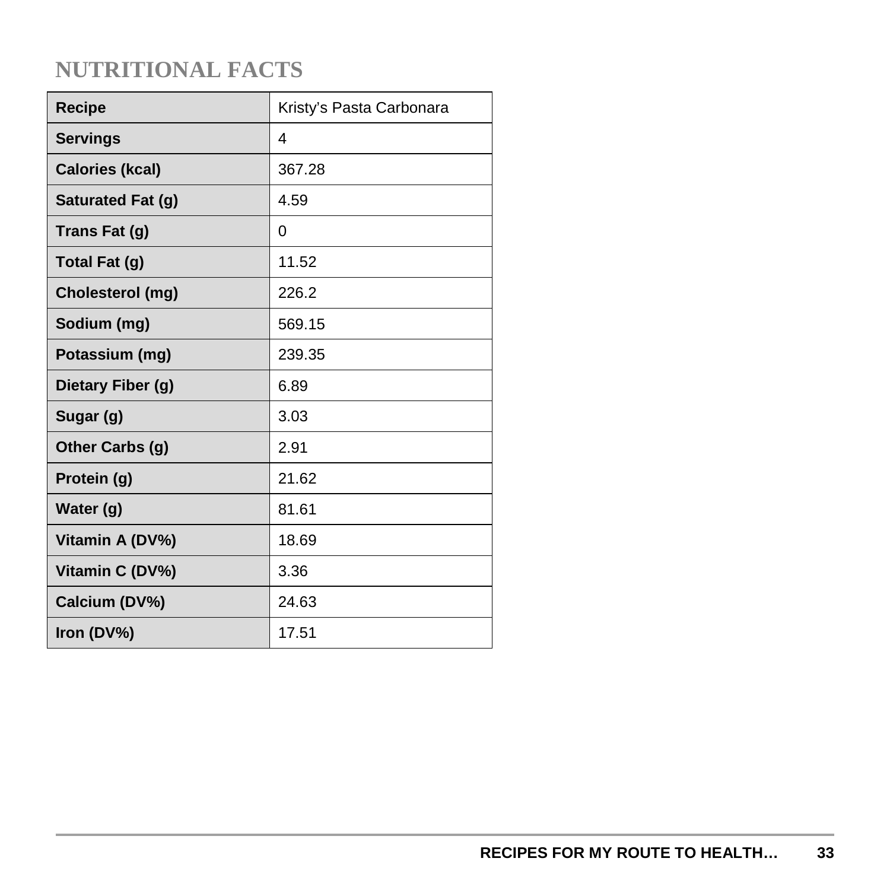| <b>Recipe</b>            | Kristy's Pasta Carbonara |
|--------------------------|--------------------------|
| <b>Servings</b>          | 4                        |
| <b>Calories (kcal)</b>   | 367.28                   |
| <b>Saturated Fat (g)</b> | 4.59                     |
| Trans Fat (g)            | 0                        |
| Total Fat (g)            | 11.52                    |
| Cholesterol (mg)         | 226.2                    |
| Sodium (mg)              | 569.15                   |
| Potassium (mg)           | 239.35                   |
| Dietary Fiber (g)        | 6.89                     |
| Sugar (g)                | 3.03                     |
| Other Carbs (g)          | 2.91                     |
| Protein (g)              | 21.62                    |
| Water (g)                | 81.61                    |
| Vitamin A (DV%)          | 18.69                    |
| Vitamin C (DV%)          | 3.36                     |
| Calcium (DV%)            | 24.63                    |
| Iron (DV%)               | 17.51                    |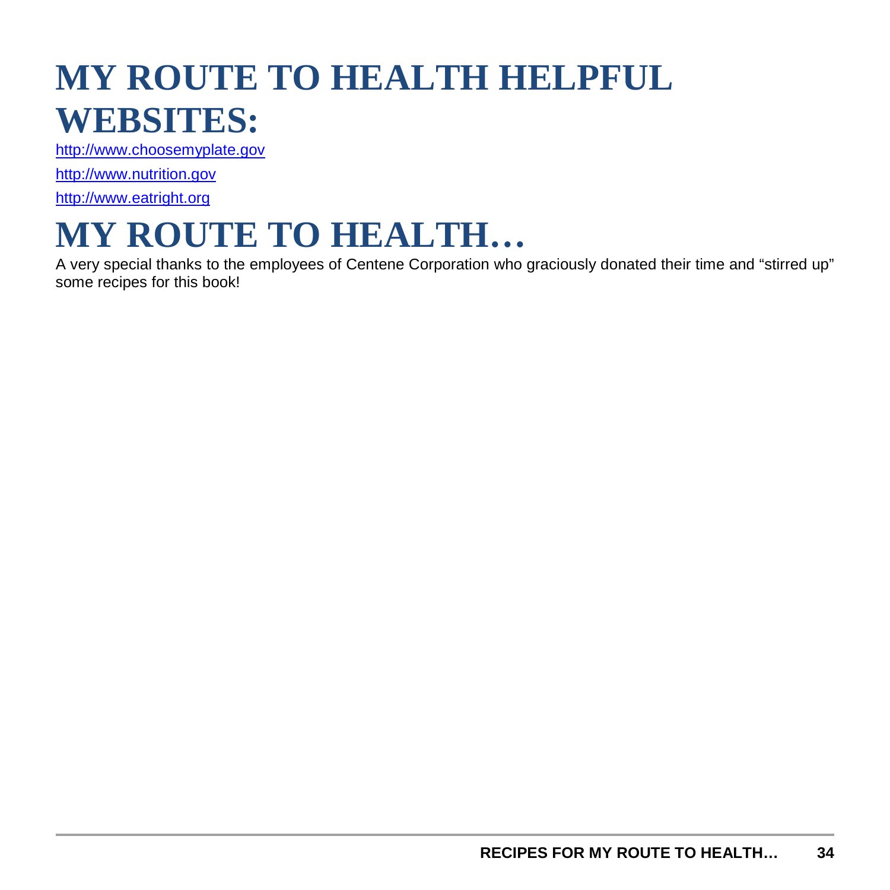## **MY ROUTE TO HEALTH HELPFUL WEBSITES:**

[http://www.choosemyplate.gov](http://www.choosemyplate.gov/)

[http://www.nutrition.gov](http://www.nutrition.gov/)

[http://www.eatright.org](http://www.eatright.org/)

## **MY ROUTE TO HEALTH…**

A very special thanks to the employees of Centene Corporation who graciously donated their time and "stirred up" some recipes for this book!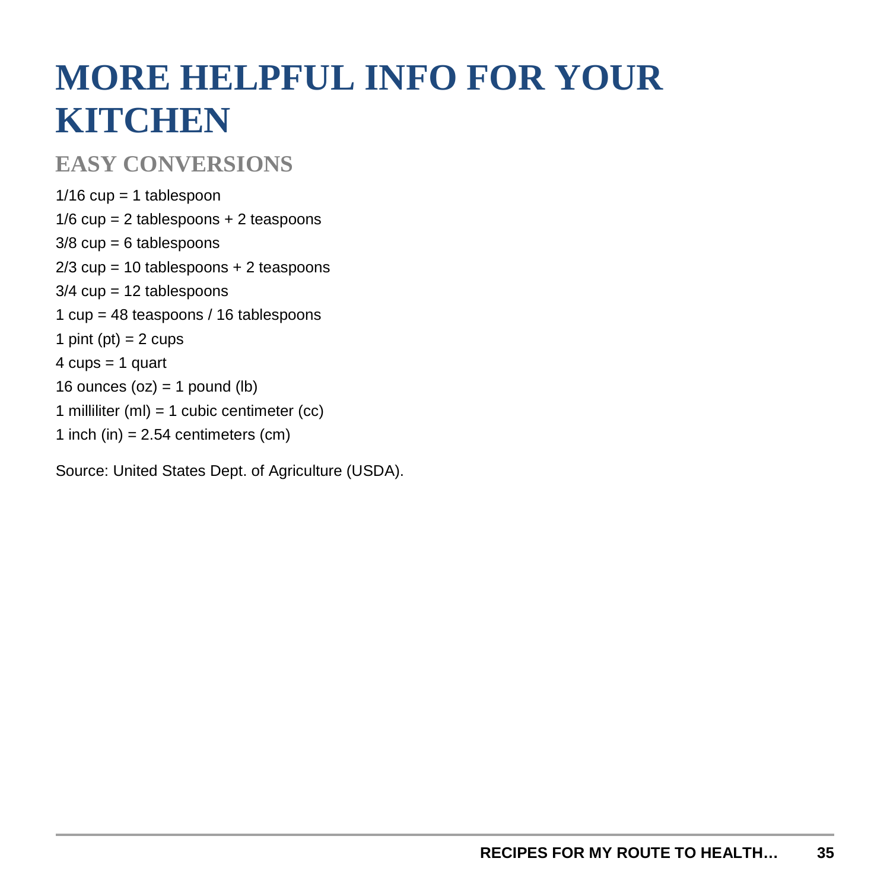## **MORE HELPFUL INFO FOR YOUR KITCHEN**

#### **EASY CONVERSIONS**

 $1/16$  cup = 1 tablespoon 1/6 cup = 2 tablespoons + 2 teaspoons  $3/8$  cup = 6 tablespoons 2/3 cup = 10 tablespoons + 2 teaspoons  $3/4$  cup = 12 tablespoons 1 cup = 48 teaspoons / 16 tablespoons 1 pint (pt) =  $2$  cups  $4 \text{ cups} = 1 \text{ quart}$ 16 ounces  $(oz) = 1$  pound  $(lb)$ 1 milliliter (ml) = 1 cubic centimeter (cc) 1 inch (in)  $= 2.54$  centimeters (cm)

Source: United States Dept. of Agriculture (USDA).